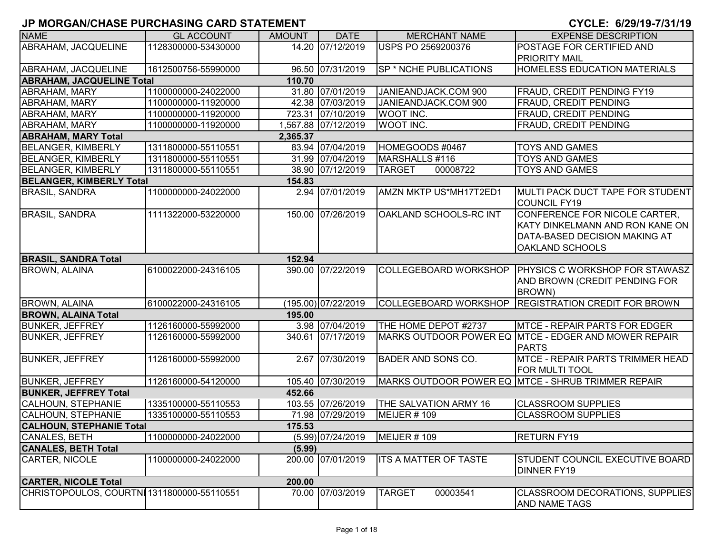| <b>NAME</b>                               | <b>GL ACCOUNT</b>   | <b>AMOUNT</b> | <b>DATE</b>         | <b>MERCHANT NAME</b>         | <b>EXPENSE DESCRIPTION</b>                                                                                                  |
|-------------------------------------------|---------------------|---------------|---------------------|------------------------------|-----------------------------------------------------------------------------------------------------------------------------|
| ABRAHAM, JACQUELINE                       | 1128300000-53430000 |               | 14.20 07/12/2019    | <b>USPS PO 2569200376</b>    | POSTAGE FOR CERTIFIED AND                                                                                                   |
|                                           |                     |               |                     |                              | <b>PRIORITY MAIL</b>                                                                                                        |
| ABRAHAM, JACQUELINE                       | 1612500756-55990000 |               | 96.50 07/31/2019    | SP * NCHE PUBLICATIONS       | <b>HOMELESS EDUCATION MATERIALS</b>                                                                                         |
| <b>ABRAHAM, JACQUELINE Total</b>          |                     | 110.70        |                     |                              |                                                                                                                             |
| ABRAHAM, MARY                             | 1100000000-24022000 |               | 31.80 07/01/2019    | JANIEANDJACK.COM 900         | FRAUD, CREDIT PENDING FY19                                                                                                  |
| ABRAHAM, MARY                             | 1100000000-11920000 |               | 42.38 07/03/2019    | JANIEANDJACK.COM 900         | <b>FRAUD, CREDIT PENDING</b>                                                                                                |
| ABRAHAM, MARY                             | 1100000000-11920000 |               | 723.31 07/10/2019   | WOOT INC.                    | FRAUD, CREDIT PENDING                                                                                                       |
| <b>ABRAHAM, MARY</b>                      | 1100000000-11920000 |               | 1,567.88 07/12/2019 | WOOT INC.                    | <b>FRAUD, CREDIT PENDING</b>                                                                                                |
| <b>ABRAHAM, MARY Total</b>                |                     | 2,365.37      |                     |                              |                                                                                                                             |
| <b>BELANGER, KIMBERLY</b>                 | 1311800000-55110551 |               | 83.94 07/04/2019    | HOMEGOODS #0467              | <b>TOYS AND GAMES</b>                                                                                                       |
| <b>BELANGER, KIMBERLY</b>                 | 1311800000-55110551 |               | 31.99 07/04/2019    | MARSHALLS #116               | <b>TOYS AND GAMES</b>                                                                                                       |
| <b>BELANGER, KIMBERLY</b>                 | 1311800000-55110551 |               | 38.90 07/12/2019    | 00008722<br><b>TARGET</b>    | <b>TOYS AND GAMES</b>                                                                                                       |
| <b>BELANGER, KIMBERLY Total</b>           |                     | 154.83        |                     |                              |                                                                                                                             |
| <b>BRASIL, SANDRA</b>                     | 1100000000-24022000 |               | 2.94 07/01/2019     | AMZN MKTP US*MH17T2ED1       | MULTI PACK DUCT TAPE FOR STUDENT<br><b>COUNCIL FY19</b>                                                                     |
| <b>BRASIL, SANDRA</b>                     | 1111322000-53220000 |               | 150.00 07/26/2019   | OAKLAND SCHOOLS-RC INT       | CONFERENCE FOR NICOLE CARTER,<br>KATY DINKELMANN AND RON KANE ON<br>DATA-BASED DECISION MAKING AT<br><b>OAKLAND SCHOOLS</b> |
| <b>BRASIL, SANDRA Total</b>               |                     | 152.94        |                     |                              |                                                                                                                             |
| <b>BROWN, ALAINA</b>                      | 6100022000-24316105 |               | 390.00 07/22/2019   |                              | COLLEGEBOARD WORKSHOP   PHYSICS C WORKSHOP FOR STAWASZ<br>AND BROWN (CREDIT PENDING FOR<br><b>BROWN</b> )                   |
| <b>BROWN, ALAINA</b>                      | 6100022000-24316105 |               | (195.00) 07/22/2019 |                              | COLLEGEBOARD WORKSHOP REGISTRATION CREDIT FOR BROWN                                                                         |
| <b>BROWN, ALAINA Total</b>                |                     | 195.00        |                     |                              |                                                                                                                             |
| <b>BUNKER, JEFFREY</b>                    | 1126160000-55992000 |               | 3.98 07/04/2019     | THE HOME DEPOT #2737         | <b>MTCE - REPAIR PARTS FOR EDGER</b>                                                                                        |
| <b>BUNKER, JEFFREY</b>                    | 1126160000-55992000 |               | 340.61 07/17/2019   |                              | MARKS OUTDOOR POWER EQ MTCE - EDGER AND MOWER REPAIR<br><b>PARTS</b>                                                        |
| <b>BUNKER, JEFFREY</b>                    | 1126160000-55992000 |               | 2.67 07/30/2019     | <b>BADER AND SONS CO.</b>    | <b>MTCE - REPAIR PARTS TRIMMER HEAD</b><br>FOR MULTI TOOL                                                                   |
| <b>BUNKER, JEFFREY</b>                    | 1126160000-54120000 |               | 105.40 07/30/2019   |                              | MARKS OUTDOOR POWER EQ MTCE - SHRUB TRIMMER REPAIR                                                                          |
| <b>BUNKER, JEFFREY Total</b>              |                     | 452.66        |                     |                              |                                                                                                                             |
| CALHOUN, STEPHANIE                        | 1335100000-55110553 |               | 103.55 07/26/2019   | THE SALVATION ARMY 16        | <b>CLASSROOM SUPPLIES</b>                                                                                                   |
| <b>CALHOUN, STEPHANIE</b>                 | 1335100000-55110553 |               | 71.98 07/29/2019    | MEIJER #109                  | <b>CLASSROOM SUPPLIES</b>                                                                                                   |
| <b>CALHOUN, STEPHANIE Total</b>           |                     | 175.53        |                     |                              |                                                                                                                             |
| CANALES, BETH                             | 1100000000-24022000 |               | $(5.99)$ 07/24/2019 | MEIJER #109                  | <b>RETURN FY19</b>                                                                                                          |
| <b>CANALES, BETH Total</b>                |                     | (5.99)        |                     |                              |                                                                                                                             |
| CARTER, NICOLE                            | 1100000000-24022000 |               | 200.00 07/01/2019   | <b>ITS A MATTER OF TASTE</b> | STUDENT COUNCIL EXECUTIVE BOARD<br><b>DINNER FY19</b>                                                                       |
| <b>CARTER, NICOLE Total</b>               |                     | 200.00        |                     |                              |                                                                                                                             |
| CHRISTOPOULOS, COURTNI1311800000-55110551 |                     |               | 70.00 07/03/2019    | <b>TARGET</b><br>00003541    | <b>CLASSROOM DECORATIONS, SUPPLIES</b><br>AND NAME TAGS                                                                     |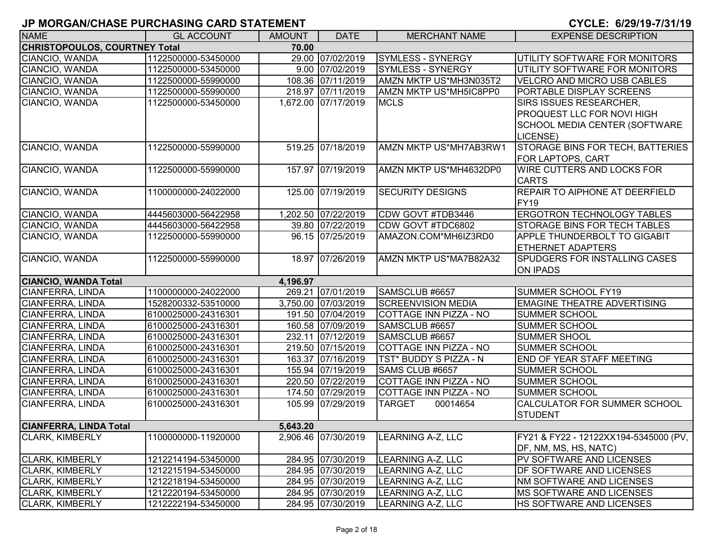| <b>NAME</b>                          | <b>GL ACCOUNT</b>   | <b>AMOUNT</b> | <b>DATE</b>         | <b>MERCHANT NAME</b>      | <b>EXPENSE DESCRIPTION</b>              |
|--------------------------------------|---------------------|---------------|---------------------|---------------------------|-----------------------------------------|
| <b>CHRISTOPOULOS, COURTNEY Total</b> |                     | 70.00         |                     |                           |                                         |
| CIANCIO, WANDA                       | 1122500000-53450000 |               | 29.00 07/02/2019    | <b>SYMLESS - SYNERGY</b>  | UTILITY SOFTWARE FOR MONITORS           |
| CIANCIO, WANDA                       | 1122500000-53450000 |               | 9.00 07/02/2019     | SYMLESS - SYNERGY         | UTILITY SOFTWARE FOR MONITORS           |
| CIANCIO, WANDA                       | 1122500000-55990000 |               | 108.36 07/11/2019   | AMZN MKTP US*MH3N035T2    | <b>VELCRO AND MICRO USB CABLES</b>      |
| CIANCIO, WANDA                       | 1122500000-55990000 |               | 218.97 07/11/2019   | AMZN MKTP US*MH5IC8PP0    | PORTABLE DISPLAY SCREENS                |
| CIANCIO, WANDA                       | 1122500000-53450000 |               | 1,672.00 07/17/2019 | <b>MCLS</b>               | SIRS ISSUES RESEARCHER,                 |
|                                      |                     |               |                     |                           | <b>PROQUEST LLC FOR NOVI HIGH</b>       |
|                                      |                     |               |                     |                           | <b>SCHOOL MEDIA CENTER (SOFTWARE</b>    |
|                                      |                     |               |                     |                           | LICENSE)                                |
| CIANCIO, WANDA                       | 1122500000-55990000 |               | 519.25 07/18/2019   | AMZN MKTP US*MH7AB3RW1    | <b>STORAGE BINS FOR TECH, BATTERIES</b> |
|                                      |                     |               |                     |                           | FOR LAPTOPS, CART                       |
| CIANCIO, WANDA                       | 1122500000-55990000 |               | 157.97 07/19/2019   | AMZN MKTP US*MH4632DP0    | <b>WIRE CUTTERS AND LOCKS FOR</b>       |
|                                      |                     |               |                     |                           | <b>CARTS</b>                            |
| CIANCIO, WANDA                       | 1100000000-24022000 |               | 125.00 07/19/2019   | <b>SECURITY DESIGNS</b>   | <b>REPAIR TO AIPHONE AT DEERFIELD</b>   |
|                                      |                     |               |                     |                           | FY <sub>19</sub>                        |
| CIANCIO, WANDA                       | 4445603000-56422958 |               | 1,202.50 07/22/2019 | CDW GOVT #TDB3446         | <b>ERGOTRON TECHNOLOGY TABLES</b>       |
| CIANCIO, WANDA                       | 4445603000-56422958 |               | 39.80 07/22/2019    | CDW GOVT #TDC6802         | <b>STORAGE BINS FOR TECH TABLES</b>     |
| CIANCIO, WANDA                       | 1122500000-55990000 |               | 96.15 07/25/2019    | AMAZON.COM*MH6IZ3RD0      | APPLE THUNDERBOLT TO GIGABIT            |
|                                      |                     |               |                     |                           | <b>ETHERNET ADAPTERS</b>                |
| CIANCIO, WANDA                       | 1122500000-55990000 |               | 18.97 07/26/2019    | AMZN MKTP US*MA7B82A32    | <b>SPUDGERS FOR INSTALLING CASES</b>    |
|                                      |                     |               |                     |                           | <b>ON IPADS</b>                         |
| <b>CIANCIO, WANDA Total</b>          |                     | 4,196.97      |                     |                           |                                         |
| <b>CIANFERRA, LINDA</b>              | 1100000000-24022000 |               | 269.21 07/01/2019   | SAMSCLUB #6657            | SUMMER SCHOOL FY19                      |
| CIANFERRA, LINDA                     | 1528200332-53510000 |               | 3,750.00 07/03/2019 | <b>SCREENVISION MEDIA</b> | <b>EMAGINE THEATRE ADVERTISING</b>      |
| CIANFERRA, LINDA                     | 6100025000-24316301 |               | 191.50 07/04/2019   | COTTAGE INN PIZZA - NO    | <b>SUMMER SCHOOL</b>                    |
| CIANFERRA, LINDA                     | 6100025000-24316301 |               | 160.58 07/09/2019   | SAMSCLUB #6657            | <b>SUMMER SCHOOL</b>                    |
| <b>CIANFERRA, LINDA</b>              | 6100025000-24316301 |               | 232.11 07/12/2019   | SAMSCLUB #6657            | <b>SUMMER SHOOL</b>                     |
| <b>CIANFERRA, LINDA</b>              | 6100025000-24316301 |               | 219.50 07/15/2019   | COTTAGE INN PIZZA - NO    | <b>SUMMER SCHOOL</b>                    |
| <b>CIANFERRA, LINDA</b>              | 6100025000-24316301 |               | 163.37 07/16/2019   | TST* BUDDY S PIZZA - N    | <b>END OF YEAR STAFF MEETING</b>        |
| <b>CIANFERRA, LINDA</b>              | 6100025000-24316301 |               | 155.94 07/19/2019   | SAMS CLUB #6657           | <b>SUMMER SCHOOL</b>                    |
| <b>CIANFERRA, LINDA</b>              | 6100025000-24316301 |               | 220.50 07/22/2019   | COTTAGE INN PIZZA - NO    | <b>SUMMER SCHOOL</b>                    |
| <b>CIANFERRA, LINDA</b>              | 6100025000-24316301 |               | 174.50 07/29/2019   | COTTAGE INN PIZZA - NO    | <b>SUMMER SCHOOL</b>                    |
| CIANFERRA, LINDA                     | 6100025000-24316301 |               | 105.99 07/29/2019   | <b>TARGET</b><br>00014654 | CALCULATOR FOR SUMMER SCHOOL            |
|                                      |                     |               |                     |                           | <b>STUDENT</b>                          |
| <b>CIANFERRA, LINDA Total</b>        |                     | 5,643.20      |                     |                           |                                         |
| <b>CLARK, KIMBERLY</b>               | 1100000000-11920000 |               | 2,906.46 07/30/2019 | LEARNING A-Z, LLC         | FY21 & FY22 - 12122XX194-5345000 (PV,   |
|                                      |                     |               |                     |                           | DF, NM, MS, HS, NATC)                   |
| <b>CLARK, KIMBERLY</b>               | 1212214194-53450000 |               | 284.95 07/30/2019   | LEARNING A-Z, LLC         | <b>PV SOFTWARE AND LICENSES</b>         |
| CLARK, KIMBERLY                      | 1212215194-53450000 |               | 284.95 07/30/2019   | LEARNING A-Z, LLC         | <b>DF SOFTWARE AND LICENSES</b>         |
| <b>CLARK, KIMBERLY</b>               | 1212218194-53450000 |               | 284.95 07/30/2019   | LEARNING A-Z, LLC         | <b>NM SOFTWARE AND LICENSES</b>         |
| <b>CLARK, KIMBERLY</b>               | 1212220194-53450000 |               | 284.95 07/30/2019   | LEARNING A-Z, LLC         | <b>IMS SOFTWARE AND LICENSES</b>        |
| <b>CLARK, KIMBERLY</b>               | 1212222194-53450000 |               | 284.95 07/30/2019   | LEARNING A-Z, LLC         | <b>HS SOFTWARE AND LICENSES</b>         |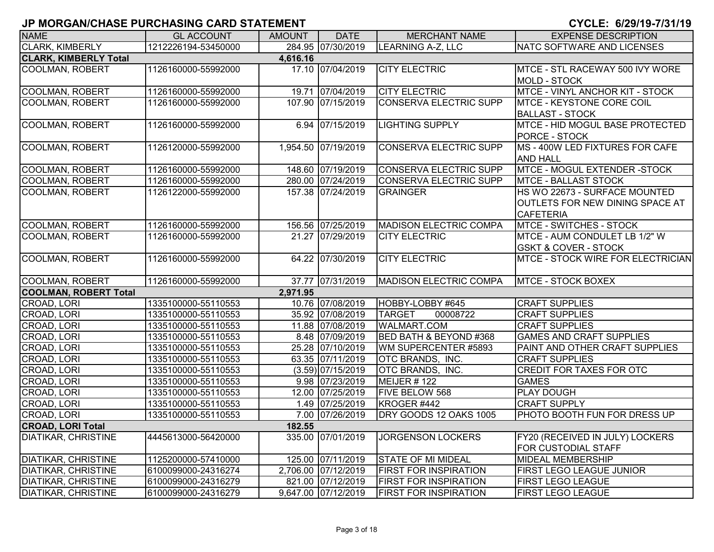| <b>NAME</b>                  | <b>GL ACCOUNT</b>   | <b>AMOUNT</b> | <b>DATE</b>         | <b>MERCHANT NAME</b>              | <b>EXPENSE DESCRIPTION</b>                                                           |
|------------------------------|---------------------|---------------|---------------------|-----------------------------------|--------------------------------------------------------------------------------------|
| <b>CLARK, KIMBERLY</b>       | 1212226194-53450000 |               | 284.95 07/30/2019   | <b>LEARNING A-Z, LLC</b>          | NATC SOFTWARE AND LICENSES                                                           |
| <b>CLARK, KIMBERLY Total</b> |                     | 4,616.16      |                     |                                   |                                                                                      |
| <b>COOLMAN, ROBERT</b>       | 1126160000-55992000 |               | 17.10 07/04/2019    | <b>CITY ELECTRIC</b>              | MTCE - STL RACEWAY 500 IVY WORE<br><b>MOLD - STOCK</b>                               |
| COOLMAN, ROBERT              | 1126160000-55992000 |               | 19.71 07/04/2019    | <b>CITY ELECTRIC</b>              | MTCE - VINYL ANCHOR KIT - STOCK                                                      |
| <b>COOLMAN, ROBERT</b>       | 1126160000-55992000 |               | 107.90 07/15/2019   | <b>CONSERVA ELECTRIC SUPP</b>     | MTCE - KEYSTONE CORE COIL<br><b>BALLAST - STOCK</b>                                  |
| <b>COOLMAN, ROBERT</b>       | 1126160000-55992000 |               | 6.94 07/15/2019     | <b>LIGHTING SUPPLY</b>            | MTCE - HID MOGUL BASE PROTECTED<br>PORCE - STOCK                                     |
| <b>COOLMAN, ROBERT</b>       | 1126120000-55992000 |               | 1,954.50 07/19/2019 | <b>CONSERVA ELECTRIC SUPP</b>     | MS - 400W LED FIXTURES FOR CAFE<br><b>AND HALL</b>                                   |
| <b>COOLMAN, ROBERT</b>       | 1126160000-55992000 |               | 148.60 07/19/2019   | <b>CONSERVA ELECTRIC SUPP</b>     | MTCE - MOGUL EXTENDER -STOCK                                                         |
| <b>COOLMAN, ROBERT</b>       | 1126160000-55992000 |               | 280.00 07/24/2019   | CONSERVA ELECTRIC SUPP            | <b>MTCE - BALLAST STOCK</b>                                                          |
| <b>COOLMAN, ROBERT</b>       | 1126122000-55992000 |               | 157.38 07/24/2019   | <b>GRAINGER</b>                   | HS WO 22673 - SURFACE MOUNTED<br>OUTLETS FOR NEW DINING SPACE AT<br><b>CAFETERIA</b> |
| <b>COOLMAN, ROBERT</b>       | 1126160000-55992000 |               | 156.56 07/25/2019   | <b>MADISON ELECTRIC COMPA</b>     | <b>MTCE - SWITCHES - STOCK</b>                                                       |
| <b>COOLMAN, ROBERT</b>       | 1126160000-55992000 |               | 21.27 07/29/2019    | <b>CITY ELECTRIC</b>              | MTCE - AUM CONDULET LB 1/2" W<br><b>GSKT &amp; COVER - STOCK</b>                     |
| <b>COOLMAN, ROBERT</b>       | 1126160000-55992000 |               | 64.22 07/30/2019    | <b>CITY ELECTRIC</b>              | MTCE - STOCK WIRE FOR ELECTRICIAN                                                    |
| <b>COOLMAN, ROBERT</b>       | 1126160000-55992000 |               | 37.77 07/31/2019    | <b>MADISON ELECTRIC COMPA</b>     | <b>MTCE - STOCK BOXEX</b>                                                            |
| <b>COOLMAN, ROBERT Total</b> |                     | 2,971.95      |                     |                                   |                                                                                      |
| CROAD, LORI                  | 1335100000-55110553 |               | 10.76 07/08/2019    | HOBBY-LOBBY #645                  | <b>CRAFT SUPPLIES</b>                                                                |
| CROAD, LORI                  | 1335100000-55110553 |               | 35.92 07/08/2019    | <b>TARGET</b><br>00008722         | <b>CRAFT SUPPLIES</b>                                                                |
| CROAD, LORI                  | 1335100000-55110553 |               | 11.88 07/08/2019    | <b>WALMART.COM</b>                | <b>CRAFT SUPPLIES</b>                                                                |
| CROAD, LORI                  | 1335100000-55110553 |               | 8.48 07/09/2019     | <b>BED BATH &amp; BEYOND #368</b> | <b>GAMES AND CRAFT SUPPLIES</b>                                                      |
| CROAD, LORI                  | 1335100000-55110553 |               | 25.28 07/10/2019    | WM SUPERCENTER #5893              | PAINT AND OTHER CRAFT SUPPLIES                                                       |
| CROAD, LORI                  | 1335100000-55110553 |               | 63.35 07/11/2019    | <b>OTC BRANDS, INC.</b>           | <b>CRAFT SUPPLIES</b>                                                                |
| CROAD, LORI                  | 1335100000-55110553 |               | $(3.59)$ 07/15/2019 | OTC BRANDS, INC.                  | <b>CREDIT FOR TAXES FOR OTC</b>                                                      |
| CROAD, LORI                  | 1335100000-55110553 |               | 9.98 07/23/2019     | MEIJER #122                       | <b>GAMES</b>                                                                         |
| CROAD, LORI                  | 1335100000-55110553 |               | 12.00 07/25/2019    | FIVE BELOW 568                    | PLAY DOUGH                                                                           |
| CROAD, LORI                  | 1335100000-55110553 |               | 1.49 07/25/2019     | KROGER #442                       | <b>CRAFT SUPPLY</b>                                                                  |
| CROAD, LORI                  | 1335100000-55110553 |               | 7.00 07/26/2019     | DRY GOODS 12 OAKS 1005            | PHOTO BOOTH FUN FOR DRESS UP                                                         |
| <b>CROAD, LORI Total</b>     |                     | 182.55        |                     |                                   |                                                                                      |
| <b>DIATIKAR, CHRISTINE</b>   | 4445613000-56420000 |               | 335.00 07/01/2019   | <b>JORGENSON LOCKERS</b>          | FY20 (RECEIVED IN JULY) LOCKERS<br>FOR CUSTODIAL STAFF                               |
| <b>DIATIKAR, CHRISTINE</b>   | 1125200000-57410000 |               | 125.00 07/11/2019   | <b>STATE OF MI MIDEAL</b>         | <b>MIDEAL MEMBERSHIP</b>                                                             |
| <b>DIATIKAR, CHRISTINE</b>   | 6100099000-24316274 |               | 2,706.00 07/12/2019 | <b>FIRST FOR INSPIRATION</b>      | FIRST LEGO LEAGUE JUNIOR                                                             |
| <b>DIATIKAR, CHRISTINE</b>   | 6100099000-24316279 |               | 821.00 07/12/2019   | <b>FIRST FOR INSPIRATION</b>      | FIRST LEGO LEAGUE                                                                    |
| <b>DIATIKAR, CHRISTINE</b>   | 6100099000-24316279 |               | 9,647.00 07/12/2019 | <b>FIRST FOR INSPIRATION</b>      | <b>FIRST LEGO LEAGUE</b>                                                             |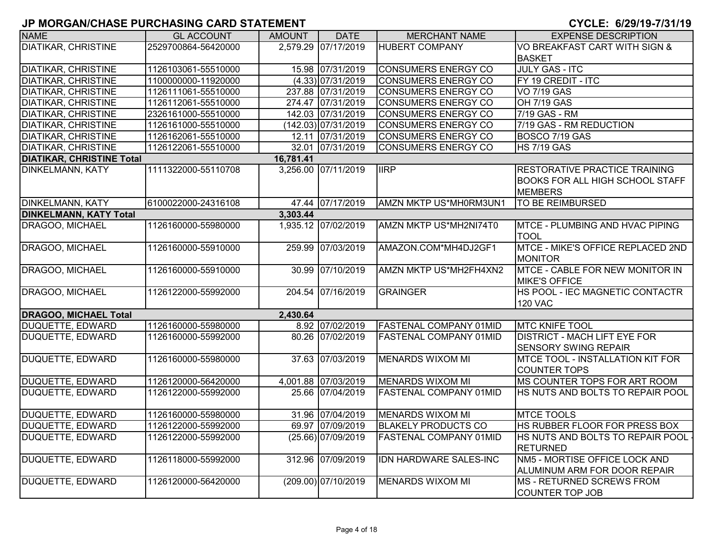| <b>NAME</b>                      | <b>GL ACCOUNT</b>   | <b>AMOUNT</b> | <b>DATE</b>           | <b>MERCHANT NAME</b>          | <b>EXPENSE DESCRIPTION</b>                                                                       |
|----------------------------------|---------------------|---------------|-----------------------|-------------------------------|--------------------------------------------------------------------------------------------------|
| <b>DIATIKAR, CHRISTINE</b>       | 2529700864-56420000 |               | 2,579.29 07/17/2019   | <b>HUBERT COMPANY</b>         | VO BREAKFAST CART WITH SIGN &                                                                    |
|                                  |                     |               |                       |                               | <b>BASKET</b>                                                                                    |
| <b>DIATIKAR, CHRISTINE</b>       | 1126103061-55510000 |               | 15.98 07/31/2019      | <b>CONSUMERS ENERGY CO</b>    | <b>JULY GAS - ITC</b>                                                                            |
| <b>DIATIKAR, CHRISTINE</b>       | 1100000000-11920000 |               | $(4.33)$ 07/31/2019   | <b>CONSUMERS ENERGY CO</b>    | FY 19 CREDIT - ITC                                                                               |
| <b>DIATIKAR, CHRISTINE</b>       | 1126111061-55510000 |               | 237.88 07/31/2019     | <b>CONSUMERS ENERGY CO</b>    | <b>VO 7/19 GAS</b>                                                                               |
| <b>DIATIKAR, CHRISTINE</b>       | 1126112061-55510000 |               | 274.47 07/31/2019     | <b>CONSUMERS ENERGY CO</b>    | <b>OH 7/19 GAS</b>                                                                               |
| <b>DIATIKAR, CHRISTINE</b>       | 2326161000-55510000 |               | 142.03 07/31/2019     | <b>CONSUMERS ENERGY CO</b>    | 7/19 GAS - RM                                                                                    |
| <b>DIATIKAR, CHRISTINE</b>       | 1126161000-55510000 |               | (142.03) 07/31/2019   | <b>CONSUMERS ENERGY CO</b>    | 7/19 GAS - RM REDUCTION                                                                          |
| <b>DIATIKAR, CHRISTINE</b>       | 1126162061-55510000 |               | 12.11 07/31/2019      | <b>CONSUMERS ENERGY CO</b>    | BOSCO 7/19 GAS                                                                                   |
| <b>DIATIKAR, CHRISTINE</b>       | 1126122061-55510000 |               | 32.01 07/31/2019      | <b>CONSUMERS ENERGY CO</b>    | <b>HS 7/19 GAS</b>                                                                               |
| <b>DIATIKAR, CHRISTINE Total</b> |                     | 16,781.41     |                       |                               |                                                                                                  |
| <b>DINKELMANN, KATY</b>          | 1111322000-55110708 |               | 3,256.00 07/11/2019   | <b>IIRP</b>                   | <b>RESTORATIVE PRACTICE TRAINING</b><br><b>BOOKS FOR ALL HIGH SCHOOL STAFF</b><br><b>MEMBERS</b> |
| <b>DINKELMANN, KATY</b>          | 6100022000-24316108 |               | 47.44 07/17/2019      | AMZN MKTP US*MH0RM3UN1        | <b>TO BE REIMBURSED</b>                                                                          |
| <b>DINKELMANN, KATY Total</b>    |                     | 3,303.44      |                       |                               |                                                                                                  |
| DRAGOO, MICHAEL                  | 1126160000-55980000 |               | 1,935.12 07/02/2019   | AMZN MKTP US*MH2NI74T0        | <b>MTCE - PLUMBING AND HVAC PIPING</b><br><b>TOOL</b>                                            |
| DRAGOO, MICHAEL                  | 1126160000-55910000 |               | 259.99 07/03/2019     | AMAZON.COM*MH4DJ2GF1          | MTCE - MIKE'S OFFICE REPLACED 2ND<br><b>MONITOR</b>                                              |
| DRAGOO, MICHAEL                  | 1126160000-55910000 |               | 30.99 07/10/2019      | AMZN MKTP US*MH2FH4XN2        | MTCE - CABLE FOR NEW MONITOR IN<br><b>MIKE'S OFFICE</b>                                          |
| DRAGOO, MICHAEL                  | 1126122000-55992000 |               | 204.54 07/16/2019     | <b>GRAINGER</b>               | HS POOL - IEC MAGNETIC CONTACTR<br><b>120 VAC</b>                                                |
| <b>DRAGOO, MICHAEL Total</b>     |                     | 2,430.64      |                       |                               |                                                                                                  |
| <b>DUQUETTE, EDWARD</b>          | 1126160000-55980000 |               | 8.92 07/02/2019       | <b>FASTENAL COMPANY 01MID</b> | <b>MTC KNIFE TOOL</b>                                                                            |
| <b>DUQUETTE, EDWARD</b>          | 1126160000-55992000 |               | 80.26 07/02/2019      | <b>FASTENAL COMPANY 01MID</b> | <b>DISTRICT - MACH LIFT EYE FOR</b><br><b>SENSORY SWING REPAIR</b>                               |
| <b>DUQUETTE, EDWARD</b>          | 1126160000-55980000 |               | 37.63 07/03/2019      | <b>MENARDS WIXOM MI</b>       | <b>MTCE TOOL - INSTALLATION KIT FOR</b><br><b>COUNTER TOPS</b>                                   |
| DUQUETTE, EDWARD                 | 1126120000-56420000 |               | 4,001.88 07/03/2019   | MENARDS WIXOM MI              | MS COUNTER TOPS FOR ART ROOM                                                                     |
| DUQUETTE, EDWARD                 | 1126122000-55992000 |               | 25.66 07/04/2019      | <b>FASTENAL COMPANY 01MID</b> | HS NUTS AND BOLTS TO REPAIR POOL                                                                 |
| DUQUETTE, EDWARD                 | 1126160000-55980000 |               | 31.96 07/04/2019      | MENARDS WIXOM MI              | <b>MTCE TOOLS</b>                                                                                |
| DUQUETTE, EDWARD                 | 1126122000-55992000 |               | 69.97 07/09/2019      | <b>BLAKELY PRODUCTS CO</b>    | HS RUBBER FLOOR FOR PRESS BOX                                                                    |
| DUQUETTE, EDWARD                 | 1126122000-55992000 |               | (25.66) 07/09/2019    | FASTENAL COMPANY 01MID        | HS NUTS AND BOLTS TO REPAIR POOL <sub>:</sub>                                                    |
|                                  |                     |               |                       |                               | <b>RETURNED</b>                                                                                  |
| DUQUETTE, EDWARD                 | 1126118000-55992000 |               | 312.96 07/09/2019     | <b>IDN HARDWARE SALES-INC</b> | NM5 - MORTISE OFFICE LOCK AND<br>ALUMINUM ARM FOR DOOR REPAIR                                    |
| DUQUETTE, EDWARD                 | 1126120000-56420000 |               | $(209.00)$ 07/10/2019 | <b>MENARDS WIXOM MI</b>       | MS - RETURNED SCREWS FROM<br><b>COUNTER TOP JOB</b>                                              |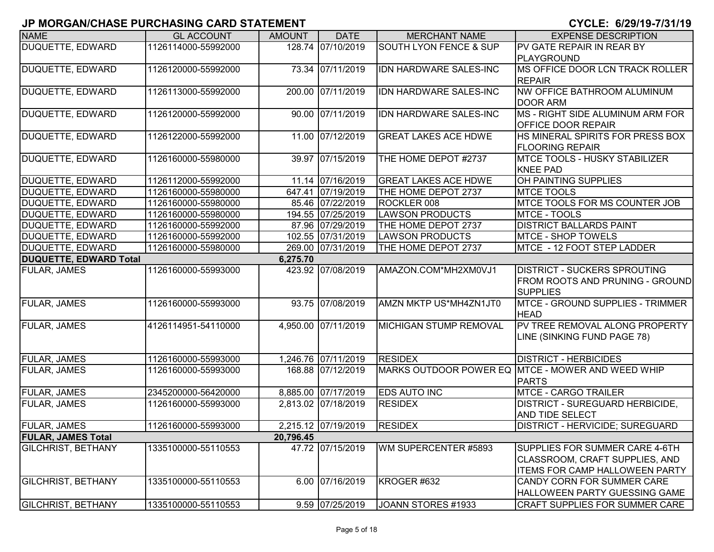|                               |                     |               |                     |                                   | <del>, , , , , , , , , , , , , , , , , ,</del>                                                            |
|-------------------------------|---------------------|---------------|---------------------|-----------------------------------|-----------------------------------------------------------------------------------------------------------|
| <b>NAME</b>                   | <b>GL ACCOUNT</b>   | <b>AMOUNT</b> | <b>DATE</b>         | <b>MERCHANT NAME</b>              | <b>EXPENSE DESCRIPTION</b>                                                                                |
| <b>DUQUETTE, EDWARD</b>       | 1126114000-55992000 | 128.74        | 07/10/2019          | <b>SOUTH LYON FENCE &amp; SUP</b> | PV GATE REPAIR IN REAR BY<br>PLAYGROUND                                                                   |
| <b>DUQUETTE, EDWARD</b>       | 1126120000-55992000 |               | 73.34 07/11/2019    | IDN HARDWARE SALES-INC            | MS OFFICE DOOR LCN TRACK ROLLER<br><b>REPAIR</b>                                                          |
| <b>DUQUETTE, EDWARD</b>       | 1126113000-55992000 |               | 200.00 07/11/2019   | <b>IDN HARDWARE SALES-INC</b>     | NW OFFICE BATHROOM ALUMINUM<br><b>DOOR ARM</b>                                                            |
| DUQUETTE, EDWARD              | 1126120000-55992000 |               | 90.00 07/11/2019    | IDN HARDWARE SALES-INC            | MS - RIGHT SIDE ALUMINUM ARM FOR<br>OFFICE DOOR REPAIR                                                    |
| DUQUETTE, EDWARD              | 1126122000-55992000 |               | 11.00 07/12/2019    | <b>GREAT LAKES ACE HDWE</b>       | HS MINERAL SPIRITS FOR PRESS BOX<br><b>FLOORING REPAIR</b>                                                |
| DUQUETTE, EDWARD              | 1126160000-55980000 |               | 39.97 07/15/2019    | THE HOME DEPOT #2737              | MTCE TOOLS - HUSKY STABILIZER<br><b>KNEE PAD</b>                                                          |
| DUQUETTE, EDWARD              | 1126112000-55992000 |               | 11.14 07/16/2019    | <b>GREAT LAKES ACE HDWE</b>       | OH PAINTING SUPPLIES                                                                                      |
| DUQUETTE, EDWARD              | 1126160000-55980000 |               | 647.41 07/19/2019   | THE HOME DEPOT 2737               | <b>MTCE TOOLS</b>                                                                                         |
| DUQUETTE, EDWARD              | 1126160000-55980000 |               | 85.46 07/22/2019    | ROCKLER 008                       | MTCE TOOLS FOR MS COUNTER JOB                                                                             |
| DUQUETTE, EDWARD              | 1126160000-55980000 |               | 194.55 07/25/2019   | <b>LAWSON PRODUCTS</b>            | MTCE - TOOLS                                                                                              |
| DUQUETTE, EDWARD              | 1126160000-55992000 |               | 87.96 07/29/2019    | THE HOME DEPOT 2737               | <b>DISTRICT BALLARDS PAINT</b>                                                                            |
| DUQUETTE, EDWARD              | 1126160000-55992000 |               | 102.55 07/31/2019   | <b>LAWSON PRODUCTS</b>            | <b>MTCE - SHOP TOWELS</b>                                                                                 |
| DUQUETTE, EDWARD              | 1126160000-55980000 |               | 269.00 07/31/2019   | THE HOME DEPOT 2737               | MTCE - 12 FOOT STEP LADDER                                                                                |
| <b>DUQUETTE, EDWARD Total</b> |                     | 6,275.70      |                     |                                   |                                                                                                           |
| <b>FULAR, JAMES</b>           | 1126160000-55993000 |               | 423.92 07/08/2019   | AMAZON.COM*MH2XM0VJ1              | <b>DISTRICT - SUCKERS SPROUTING</b><br><b>FROM ROOTS AND PRUNING - GROUND</b><br><b>SUPPLIES</b>          |
| <b>FULAR, JAMES</b>           | 1126160000-55993000 |               | 93.75 07/08/2019    | AMZN MKTP US*MH4ZN1JT0            | MTCE - GROUND SUPPLIES - TRIMMER<br><b>HEAD</b>                                                           |
| <b>FULAR, JAMES</b>           | 4126114951-54110000 |               | 4,950.00 07/11/2019 | <b>MICHIGAN STUMP REMOVAL</b>     | PV TREE REMOVAL ALONG PROPERTY<br>LINE (SINKING FUND PAGE 78)                                             |
| <b>FULAR, JAMES</b>           | 1126160000-55993000 |               | 1,246.76 07/11/2019 | <b>RESIDEX</b>                    | <b>DISTRICT - HERBICIDES</b>                                                                              |
| <b>FULAR, JAMES</b>           | 1126160000-55993000 |               | 168.88 07/12/2019   |                                   | MARKS OUTDOOR POWER EQ MTCE - MOWER AND WEED WHIP<br><b>PARTS</b>                                         |
| <b>FULAR, JAMES</b>           | 2345200000-56420000 |               | 8,885.00 07/17/2019 | <b>EDS AUTO INC</b>               | MTCE - CARGO TRAILER                                                                                      |
| <b>FULAR, JAMES</b>           | 1126160000-55993000 |               | 2,813.02 07/18/2019 | <b>RESIDEX</b>                    | <b>DISTRICT - SUREGUARD HERBICIDE,</b><br><b>AND TIDE SELECT</b>                                          |
| <b>FULAR, JAMES</b>           | 1126160000-55993000 |               | 2,215.12 07/19/2019 | <b>RESIDEX</b>                    | <b>DISTRICT - HERVICIDE; SUREGUARD</b>                                                                    |
| <b>FULAR, JAMES Total</b>     |                     | 20,796.45     |                     |                                   |                                                                                                           |
| <b>GILCHRIST, BETHANY</b>     | 1335100000-55110553 |               | 47.72 07/15/2019    | WM SUPERCENTER #5893              | SUPPLIES FOR SUMMER CARE 4-6TH<br>CLASSROOM, CRAFT SUPPLIES, AND<br><b>ITEMS FOR CAMP HALLOWEEN PARTY</b> |
| <b>GILCHRIST, BETHANY</b>     | 1335100000-55110553 |               | 6.00 07/16/2019     | KROGER #632                       | CANDY CORN FOR SUMMER CARE<br>HALLOWEEN PARTY GUESSING GAME                                               |
| <b>GILCHRIST, BETHANY</b>     | 1335100000-55110553 |               | 9.59 07/25/2019     | JOANN STORES #1933                | CRAFT SUPPLIES FOR SUMMER CARE                                                                            |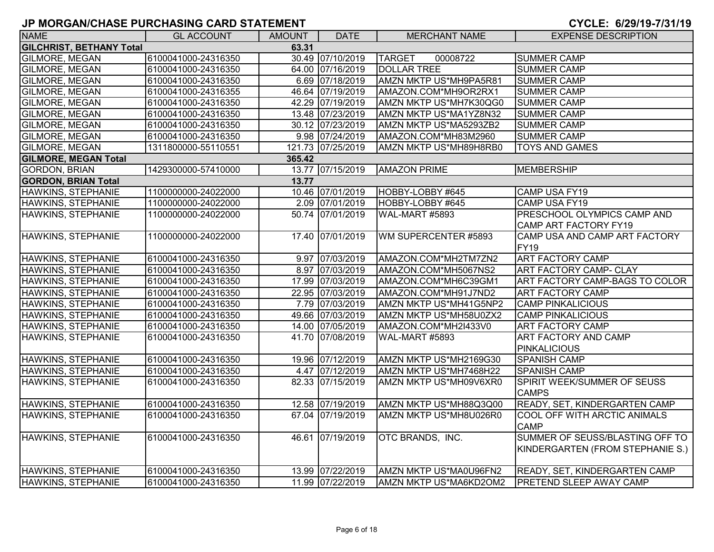| <b>NAME</b>                     | <b>GL ACCOUNT</b>   | <b>AMOUNT</b> | <b>DATE</b>       | <b>MERCHANT NAME</b>      | <b>EXPENSE DESCRIPTION</b>       |  |  |  |  |
|---------------------------------|---------------------|---------------|-------------------|---------------------------|----------------------------------|--|--|--|--|
| <b>GILCHRIST, BETHANY Total</b> | 63.31               |               |                   |                           |                                  |  |  |  |  |
| <b>GILMORE, MEGAN</b>           | 6100041000-24316350 |               | 30.49 07/10/2019  | <b>TARGET</b><br>00008722 | <b>SUMMER CAMP</b>               |  |  |  |  |
| <b>GILMORE, MEGAN</b>           | 6100041000-24316350 |               | 64.00 07/16/2019  | <b>DOLLAR TREE</b>        | <b>SUMMER CAMP</b>               |  |  |  |  |
| <b>GILMORE, MEGAN</b>           | 6100041000-24316350 |               | 6.69 07/18/2019   | AMZN MKTP US*MH9PA5R81    | <b>SUMMER CAMP</b>               |  |  |  |  |
| GILMORE, MEGAN                  | 6100041000-24316355 |               | 46.64 07/19/2019  | AMAZON.COM*MH9OR2RX1      | <b>SUMMER CAMP</b>               |  |  |  |  |
| <b>GILMORE, MEGAN</b>           | 6100041000-24316350 |               | 42.29 07/19/2019  | AMZN MKTP US*MH7K30QG0    | <b>SUMMER CAMP</b>               |  |  |  |  |
| <b>GILMORE, MEGAN</b>           | 6100041000-24316350 |               | 13.48 07/23/2019  | AMZN MKTP US*MA1YZ8N32    | <b>SUMMER CAMP</b>               |  |  |  |  |
| <b>GILMORE, MEGAN</b>           | 6100041000-24316350 |               | 30.12 07/23/2019  | AMZN MKTP US*MA5293ZB2    | <b>SUMMER CAMP</b>               |  |  |  |  |
| <b>GILMORE, MEGAN</b>           | 6100041000-24316350 |               | 9.98 07/24/2019   | AMAZON.COM*MH83M2960      | <b>SUMMER CAMP</b>               |  |  |  |  |
| <b>GILMORE, MEGAN</b>           | 1311800000-55110551 |               | 121.73 07/25/2019 | AMZN MKTP US*MH89H8RB0    | <b>TOYS AND GAMES</b>            |  |  |  |  |
| <b>GILMORE, MEGAN Total</b>     |                     | 365.42        |                   |                           |                                  |  |  |  |  |
| <b>GORDON, BRIAN</b>            | 1429300000-57410000 |               | 13.77 07/15/2019  | <b>AMAZON PRIME</b>       | MEMBERSHIP                       |  |  |  |  |
| <b>GORDON, BRIAN Total</b>      |                     | 13.77         |                   |                           |                                  |  |  |  |  |
| HAWKINS, STEPHANIE              | 1100000000-24022000 |               | 10.46 07/01/2019  | HOBBY-LOBBY #645          | <b>CAMP USA FY19</b>             |  |  |  |  |
| HAWKINS, STEPHANIE              | 1100000000-24022000 |               | 2.09 07/01/2019   | HOBBY-LOBBY #645          | CAMP USA FY19                    |  |  |  |  |
| HAWKINS, STEPHANIE              | 1100000000-24022000 |               | 50.74 07/01/2019  | WAL-MART #5893            | PRESCHOOL OLYMPICS CAMP AND      |  |  |  |  |
|                                 |                     |               |                   |                           | CAMP ART FACTORY FY19            |  |  |  |  |
| <b>HAWKINS, STEPHANIE</b>       | 1100000000-24022000 |               | 17.40 07/01/2019  | WM SUPERCENTER #5893      | CAMP USA AND CAMP ART FACTORY    |  |  |  |  |
|                                 |                     |               |                   |                           | FY <sub>19</sub>                 |  |  |  |  |
| <b>HAWKINS, STEPHANIE</b>       | 6100041000-24316350 |               | 9.97 07/03/2019   | AMAZON.COM*MH2TM7ZN2      | <b>ART FACTORY CAMP</b>          |  |  |  |  |
| <b>HAWKINS, STEPHANIE</b>       | 6100041000-24316350 |               | 8.97 07/03/2019   | AMAZON.COM*MH5067NS2      | <b>ART FACTORY CAMP- CLAY</b>    |  |  |  |  |
| HAWKINS, STEPHANIE              | 6100041000-24316350 |               | 17.99 07/03/2019  | AMAZON.COM*MH6C39GM1      | ART FACTORY CAMP-BAGS TO COLOR   |  |  |  |  |
| <b>HAWKINS, STEPHANIE</b>       | 6100041000-24316350 |               | 22.95 07/03/2019  | AMAZON.COM*MH91J7ND2      | <b>ART FACTORY CAMP</b>          |  |  |  |  |
| HAWKINS, STEPHANIE              | 6100041000-24316350 |               | 7.79 07/03/2019   | AMZN MKTP US*MH41G5NP2    | <b>CAMP PINKALICIOUS</b>         |  |  |  |  |
| <b>HAWKINS, STEPHANIE</b>       | 6100041000-24316350 |               | 49.66 07/03/2019  | AMZN MKTP US*MH58U0ZX2    | <b>CAMP PINKALICIOUS</b>         |  |  |  |  |
| <b>HAWKINS, STEPHANIE</b>       | 6100041000-24316350 |               | 14.00 07/05/2019  | AMAZON.COM*MH2I433V0      | <b>ART FACTORY CAMP</b>          |  |  |  |  |
| HAWKINS, STEPHANIE              | 6100041000-24316350 |               | 41.70 07/08/2019  | WAL-MART #5893            | <b>ART FACTORY AND CAMP</b>      |  |  |  |  |
|                                 |                     |               |                   |                           | <b>PINKALICIOUS</b>              |  |  |  |  |
| HAWKINS, STEPHANIE              | 6100041000-24316350 |               | 19.96 07/12/2019  | AMZN MKTP US*MH2169G30    | <b>SPANISH CAMP</b>              |  |  |  |  |
| HAWKINS, STEPHANIE              | 6100041000-24316350 |               | 4.47 07/12/2019   | AMZN MKTP US*MH7468H22    | <b>SPANISH CAMP</b>              |  |  |  |  |
| HAWKINS, STEPHANIE              | 6100041000-24316350 |               | 82.33 07/15/2019  | AMZN MKTP US*MH09V6XR0    | SPIRIT WEEK/SUMMER OF SEUSS      |  |  |  |  |
|                                 |                     |               |                   |                           | <b>CAMPS</b>                     |  |  |  |  |
| HAWKINS, STEPHANIE              | 6100041000-24316350 |               | 12.58 07/19/2019  | AMZN MKTP US*MH88Q3Q00    | READY, SET, KINDERGARTEN CAMP    |  |  |  |  |
| HAWKINS, STEPHANIE              | 6100041000-24316350 |               | 67.04 07/19/2019  | AMZN MKTP US*MH8U026R0    | COOL OFF WITH ARCTIC ANIMALS     |  |  |  |  |
|                                 |                     |               |                   |                           | <b>CAMP</b>                      |  |  |  |  |
| <b>HAWKINS, STEPHANIE</b>       | 6100041000-24316350 |               | 46.61 07/19/2019  | OTC BRANDS, INC.          | SUMMER OF SEUSS/BLASTING OFF TO  |  |  |  |  |
|                                 |                     |               |                   |                           | KINDERGARTEN (FROM STEPHANIE S.) |  |  |  |  |
|                                 |                     |               |                   |                           |                                  |  |  |  |  |
| HAWKINS, STEPHANIE              | 6100041000-24316350 |               | 13.99 07/22/2019  | AMZN MKTP US*MA0U96FN2    | READY, SET, KINDERGARTEN CAMP    |  |  |  |  |
| HAWKINS, STEPHANIE              | 6100041000-24316350 |               | 11.99 07/22/2019  | AMZN MKTP US*MA6KD2OM2    | <b>PRETEND SLEEP AWAY CAMP</b>   |  |  |  |  |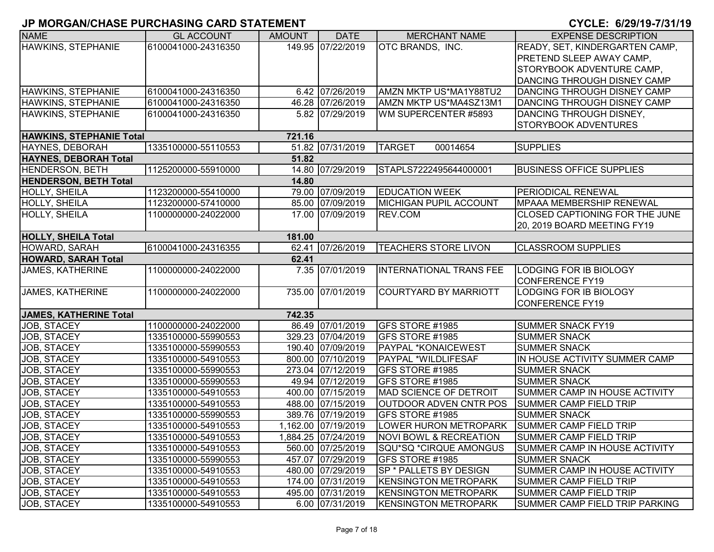| <b>NAME</b>                     | <b>GL ACCOUNT</b>   | <b>AMOUNT</b> | <b>DATE</b>         | <b>MERCHANT NAME</b>              | <b>EXPENSE DESCRIPTION</b>      |
|---------------------------------|---------------------|---------------|---------------------|-----------------------------------|---------------------------------|
| <b>HAWKINS, STEPHANIE</b>       | 6100041000-24316350 |               | 149.95 07/22/2019   | OTC BRANDS, INC.                  | READY, SET, KINDERGARTEN CAMP,  |
|                                 |                     |               |                     |                                   | PRETEND SLEEP AWAY CAMP,        |
|                                 |                     |               |                     |                                   | STORYBOOK ADVENTURE CAMP,       |
|                                 |                     |               |                     |                                   | DANCING THROUGH DISNEY CAMP     |
| HAWKINS, STEPHANIE              | 6100041000-24316350 |               | 6.42 07/26/2019     | AMZN MKTP US*MA1Y88TU2            | DANCING THROUGH DISNEY CAMP     |
| <b>HAWKINS, STEPHANIE</b>       | 6100041000-24316350 |               | 46.28 07/26/2019    | AMZN MKTP US*MA4SZ13M1            | DANCING THROUGH DISNEY CAMP     |
| HAWKINS, STEPHANIE              | 6100041000-24316350 |               | 5.82 07/29/2019     | WM SUPERCENTER #5893              | DANCING THROUGH DISNEY,         |
|                                 |                     |               |                     |                                   | <b>STORYBOOK ADVENTURES</b>     |
| <b>HAWKINS, STEPHANIE Total</b> |                     | 721.16        |                     |                                   |                                 |
| <b>HAYNES, DEBORAH</b>          | 1335100000-55110553 |               | 51.82 07/31/2019    | <b>TARGET</b><br>00014654         | <b>SUPPLIES</b>                 |
| <b>HAYNES, DEBORAH Total</b>    |                     | 51.82         |                     |                                   |                                 |
| <b>HENDERSON, BETH</b>          | 1125200000-55910000 |               | 14.80 07/29/2019    | STAPLS7222495644000001            | <b>BUSINESS OFFICE SUPPLIES</b> |
| <b>HENDERSON, BETH Total</b>    |                     | 14.80         |                     |                                   |                                 |
| HOLLY, SHEILA                   | 1123200000-55410000 |               | 79.00 07/09/2019    | <b>EDUCATION WEEK</b>             | <b>PERIODICAL RENEWAL</b>       |
| <b>HOLLY, SHEILA</b>            | 1123200000-57410000 |               | 85.00 07/09/2019    | <b>MICHIGAN PUPIL ACCOUNT</b>     | <b>MPAAA MEMBERSHIP RENEWAL</b> |
| HOLLY, SHEILA                   | 1100000000-24022000 |               | 17.00 07/09/2019    | REV.COM                           | CLOSED CAPTIONING FOR THE JUNE  |
|                                 |                     |               |                     |                                   | 20, 2019 BOARD MEETING FY19     |
| <b>HOLLY, SHEILA Total</b>      |                     | 181.00        |                     |                                   |                                 |
| HOWARD, SARAH                   | 6100041000-24316355 |               | 62.41 07/26/2019    | TEACHERS STORE LIVON              | <b>CLASSROOM SUPPLIES</b>       |
| <b>HOWARD, SARAH Total</b>      |                     | 62.41         |                     |                                   |                                 |
| <b>JAMES, KATHERINE</b>         | 1100000000-24022000 |               | 7.35 07/01/2019     | <b>INTERNATIONAL TRANS FEE</b>    | LODGING FOR IB BIOLOGY          |
|                                 |                     |               |                     |                                   | <b>CONFERENCE FY19</b>          |
| <b>JAMES, KATHERINE</b>         | 1100000000-24022000 |               | 735.00 07/01/2019   | <b>COURTYARD BY MARRIOTT</b>      | LODGING FOR IB BIOLOGY          |
|                                 |                     |               |                     |                                   | <b>CONFERENCE FY19</b>          |
| <b>JAMES, KATHERINE Total</b>   |                     | 742.35        |                     |                                   |                                 |
| JOB, STACEY                     | 1100000000-24022000 |               | 86.49 07/01/2019    | GFS STORE #1985                   | <b>SUMMER SNACK FY19</b>        |
| JOB, STACEY                     | 1335100000-55990553 |               | 329.23 07/04/2019   | GFS STORE #1985                   | <b>SUMMER SNACK</b>             |
| JOB, STACEY                     | 1335100000-55990553 |               | 190.40 07/09/2019   | PAYPAL *KONAICEWEST               | <b>SUMMER SNACK</b>             |
| JOB, STACEY                     | 1335100000-54910553 |               | 800.00 07/10/2019   | PAYPAL *WILDLIFESAF               | IN HOUSE ACTIVITY SUMMER CAMP   |
| JOB, STACEY                     | 1335100000-55990553 |               | 273.04 07/12/2019   | GFS STORE #1985                   | <b>SUMMER SNACK</b>             |
| JOB, STACEY                     | 1335100000-55990553 |               | 49.94 07/12/2019    | GFS STORE #1985                   | <b>SUMMER SNACK</b>             |
| JOB, STACEY                     | 1335100000-54910553 |               | 400.00 07/15/2019   | MAD SCIENCE OF DETROIT            | SUMMER CAMP IN HOUSE ACTIVITY   |
| JOB, STACEY                     | 1335100000-54910553 |               | 488.00 07/15/2019   | <b>OUTDOOR ADVEN CNTR POS</b>     | <b>SUMMER CAMP FIELD TRIP</b>   |
| JOB, STACEY                     | 1335100000-55990553 |               | 389.76 07/19/2019   | GFS STORE #1985                   | <b>SUMMER SNACK</b>             |
| JOB, STACEY                     | 1335100000-54910553 |               | 1,162.00 07/19/2019 | <b>LOWER HURON METROPARK</b>      | <b>SUMMER CAMP FIELD TRIP</b>   |
| JOB, STACEY                     | 1335100000-54910553 |               | 1,884.25 07/24/2019 | <b>NOVI BOWL &amp; RECREATION</b> | <b>SUMMER CAMP FIELD TRIP</b>   |
| JOB, STACEY                     | 1335100000-54910553 |               | 560.00 07/25/2019   | SQU*SQ *CIRQUE AMONGUS            | SUMMER CAMP IN HOUSE ACTIVITY   |
| JOB, STACEY                     | 1335100000-55990553 |               | 457.07 07/29/2019   | GFS STORE #1985                   | <b>SUMMER SNACK</b>             |
| JOB, STACEY                     | 1335100000-54910553 |               | 480.00 07/29/2019   | SP * PALLETS BY DESIGN            | SUMMER CAMP IN HOUSE ACTIVITY   |
| JOB, STACEY                     | 1335100000-54910553 |               | 174.00 07/31/2019   | <b>KENSINGTON METROPARK</b>       | <b>SUMMER CAMP FIELD TRIP</b>   |
| JOB, STACEY                     | 1335100000-54910553 |               | 495.00 07/31/2019   | <b>KENSINGTON METROPARK</b>       | <b>SUMMER CAMP FIELD TRIP</b>   |
| JOB, STACEY                     | 1335100000-54910553 |               | 6.00 07/31/2019     | <b>KENSINGTON METROPARK</b>       | SUMMER CAMP FIELD TRIP PARKING  |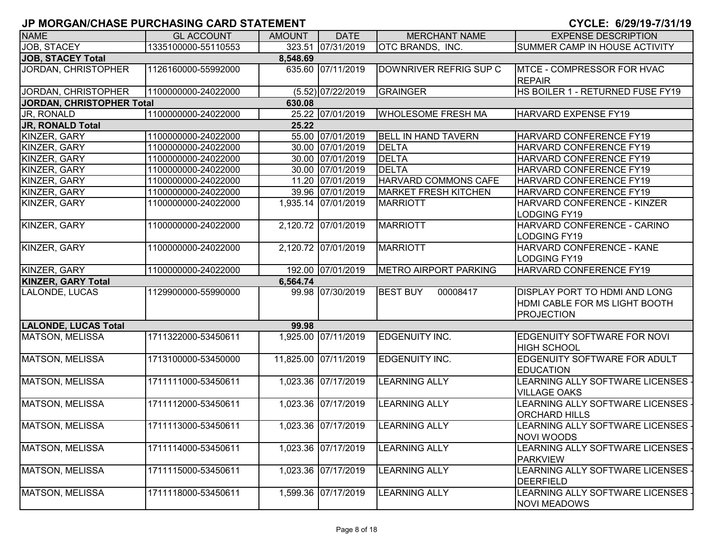| <b>NAME</b>                 | <b>GL ACCOUNT</b>   | <b>AMOUNT</b> | <b>DATE</b>          | <b>MERCHANT NAME</b>         | <b>EXPENSE DESCRIPTION</b>                                                                 |
|-----------------------------|---------------------|---------------|----------------------|------------------------------|--------------------------------------------------------------------------------------------|
| JOB, STACEY                 | 1335100000-55110553 |               | 323.51 07/31/2019    | <b>OTC BRANDS, INC.</b>      | SUMMER CAMP IN HOUSE ACTIVITY                                                              |
| <b>JOB, STACEY Total</b>    |                     | 8,548.69      |                      |                              |                                                                                            |
| JORDAN, CHRISTOPHER         | 1126160000-55992000 |               | 635.60 07/11/2019    | DOWNRIVER REFRIG SUP C       | MTCE - COMPRESSOR FOR HVAC<br><b>REPAIR</b>                                                |
| <b>JORDAN, CHRISTOPHER</b>  | 1100000000-24022000 |               | $(5.52)$ 07/22/2019  | GRAINGER                     | HS BOILER 1 - RETURNED FUSE FY19                                                           |
| JORDAN, CHRISTOPHER Total   |                     | 630.08        |                      |                              |                                                                                            |
| JR, RONALD                  | 1100000000-24022000 |               | 25.22 07/01/2019     | <b>WHOLESOME FRESH MA</b>    | HARVARD EXPENSE FY19                                                                       |
| <b>JR, RONALD Total</b>     |                     | 25.22         |                      |                              |                                                                                            |
| KINZER, GARY                | 1100000000-24022000 |               | 55.00 07/01/2019     | <b>BELL IN HAND TAVERN</b>   | HARVARD CONFERENCE FY19                                                                    |
| KINZER, GARY                | 1100000000-24022000 |               | 30.00 07/01/2019     | DELTA                        | HARVARD CONFERENCE FY19                                                                    |
| KINZER, GARY                | 1100000000-24022000 |               | 30.00 07/01/2019     | <b>DELTA</b>                 | HARVARD CONFERENCE FY19                                                                    |
| KINZER, GARY                | 1100000000-24022000 |               | 30.00 07/01/2019     | <b>DELTA</b>                 | HARVARD CONFERENCE FY19                                                                    |
| KINZER, GARY                | 1100000000-24022000 |               | 11.20 07/01/2019     | HARVARD COMMONS CAFE         | HARVARD CONFERENCE FY19                                                                    |
| KINZER, GARY                | 1100000000-24022000 |               | 39.96 07/01/2019     | <b>MARKET FRESH KITCHEN</b>  | HARVARD CONFERENCE FY19                                                                    |
| KINZER, GARY                | 1100000000-24022000 |               | 1,935.14 07/01/2019  | <b>MARRIOTT</b>              | HARVARD CONFERENCE - KINZER<br>LODGING FY19                                                |
| KINZER, GARY                | 1100000000-24022000 |               | 2,120.72 07/01/2019  | <b>MARRIOTT</b>              | HARVARD CONFERENCE - CARINO<br><b>LODGING FY19</b>                                         |
| KINZER, GARY                | 1100000000-24022000 |               | 2,120.72 07/01/2019  | <b>MARRIOTT</b>              | HARVARD CONFERENCE - KANE<br><b>LODGING FY19</b>                                           |
| KINZER, GARY                | 1100000000-24022000 |               | 192.00 07/01/2019    | <b>METRO AIRPORT PARKING</b> | HARVARD CONFERENCE FY19                                                                    |
| <b>KINZER, GARY Total</b>   |                     | 6,564.74      |                      |                              |                                                                                            |
| LALONDE, LUCAS              | 1129900000-55990000 |               | 99.98 07/30/2019     | <b>BEST BUY</b><br>00008417  | <b>DISPLAY PORT TO HDMI AND LONG</b><br>HDMI CABLE FOR MS LIGHT BOOTH<br><b>PROJECTION</b> |
| <b>LALONDE, LUCAS Total</b> |                     | 99.98         |                      |                              |                                                                                            |
| <b>MATSON, MELISSA</b>      | 1711322000-53450611 |               | 1,925.00 07/11/2019  | <b>EDGENUITY INC.</b>        | EDGENUITY SOFTWARE FOR NOVI<br><b>HIGH SCHOOL</b>                                          |
| MATSON, MELISSA             | 1713100000-53450000 |               | 11,825.00 07/11/2019 | EDGENUITY INC.               | EDGENUITY SOFTWARE FOR ADULT<br><b>EDUCATION</b>                                           |
| MATSON, MELISSA             | 1711111000-53450611 |               | 1,023.36 07/17/2019  | <b>LEARNING ALLY</b>         | LEARNING ALLY SOFTWARE LICENSES -<br><b>VILLAGE OAKS</b>                                   |
| MATSON, MELISSA             | 1711112000-53450611 |               | 1,023.36 07/17/2019  | <b>LEARNING ALLY</b>         | LEARNING ALLY SOFTWARE LICENSES -<br><b>ORCHARD HILLS</b>                                  |
| <b>MATSON, MELISSA</b>      | 1711113000-53450611 |               | 1,023.36 07/17/2019  | <b>LEARNING ALLY</b>         | LEARNING ALLY SOFTWARE LICENSES -<br><b>NOVI WOODS</b>                                     |
| MATSON, MELISSA             | 1711114000-53450611 |               | 1,023.36 07/17/2019  | <b>LEARNING ALLY</b>         | LEARNING ALLY SOFTWARE LICENSES -<br><b>PARKVIEW</b>                                       |
| MATSON, MELISSA             | 1711115000-53450611 |               | 1,023.36 07/17/2019  | <b>LEARNING ALLY</b>         | LEARNING ALLY SOFTWARE LICENSES -<br><b>DEERFIELD</b>                                      |
| MATSON, MELISSA             | 1711118000-53450611 |               | 1,599.36 07/17/2019  | <b>LEARNING ALLY</b>         | LEARNING ALLY SOFTWARE LICENSES -<br><b>NOVI MEADOWS</b>                                   |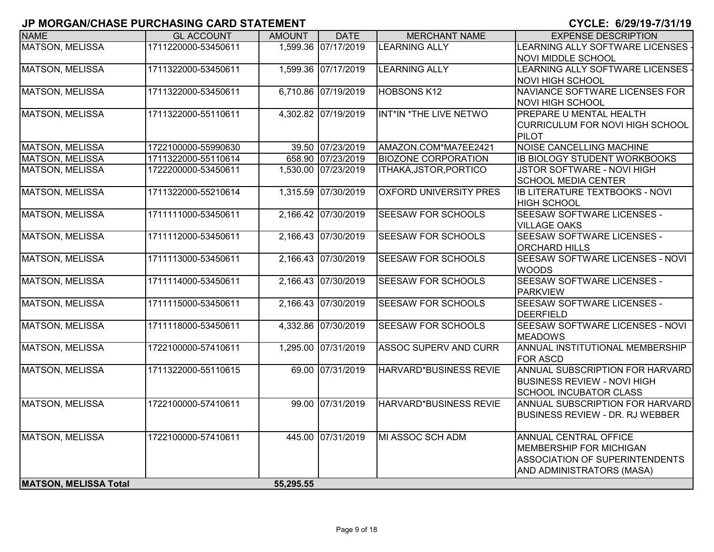| <u>u monoritioninos i ononinoino orito o interient</u> |                     |               |                     |                               | <u>91922. VILVITV IIV II IV</u>                           |
|--------------------------------------------------------|---------------------|---------------|---------------------|-------------------------------|-----------------------------------------------------------|
| <b>NAME</b>                                            | <b>GL ACCOUNT</b>   | <b>AMOUNT</b> | <b>DATE</b>         | <b>MERCHANT NAME</b>          | <b>EXPENSE DESCRIPTION</b>                                |
| <b>MATSON, MELISSA</b>                                 | 1711220000-53450611 |               | 1,599.36 07/17/2019 | <b>LEARNING ALLY</b>          | LEARNING ALLY SOFTWARE LICENSES -                         |
|                                                        |                     |               |                     |                               | <b>NOVI MIDDLE SCHOOL</b>                                 |
| <b>MATSON, MELISSA</b>                                 | 1711322000-53450611 |               | 1,599.36 07/17/2019 | <b>LEARNING ALLY</b>          | LEARNING ALLY SOFTWARE LICENSES -                         |
|                                                        |                     |               |                     |                               | <b>NOVI HIGH SCHOOL</b>                                   |
| <b>MATSON, MELISSA</b>                                 | 1711322000-53450611 |               | 6,710.86 07/19/2019 | <b>HOBSONS K12</b>            | NAVIANCE SOFTWARE LICENSES FOR<br><b>NOVI HIGH SCHOOL</b> |
| <b>MATSON, MELISSA</b>                                 | 1711322000-55110611 |               | 4,302.82 07/19/2019 | INT*IN *THE LIVE NETWO        | <b>PREPARE U MENTAL HEALTH</b>                            |
|                                                        |                     |               |                     |                               | <b>CURRICULUM FOR NOVI HIGH SCHOOL</b>                    |
|                                                        |                     |               |                     |                               | PILOT                                                     |
| MATSON, MELISSA                                        | 1722100000-55990630 |               | 39.50 07/23/2019    | AMAZON.COM*MA7EE2421          | <b>NOISE CANCELLING MACHINE</b>                           |
| MATSON, MELISSA                                        | 1711322000-55110614 |               | 658.90 07/23/2019   | <b>BIOZONE CORPORATION</b>    | <b>IB BIOLOGY STUDENT WORKBOOKS</b>                       |
| <b>MATSON, MELISSA</b>                                 | 1722200000-53450611 |               | 1,530.00 07/23/2019 | ITHAKA, JSTOR, PORTICO        | JSTOR SOFTWARE - NOVI HIGH                                |
|                                                        |                     |               |                     |                               | <b>SCHOOL MEDIA CENTER</b>                                |
| <b>MATSON, MELISSA</b>                                 | 1711322000-55210614 |               | 1,315.59 07/30/2019 | <b>OXFORD UNIVERSITY PRES</b> | <b>IB LITERATURE TEXTBOOKS - NOVI</b>                     |
|                                                        |                     |               |                     |                               | <b>HIGH SCHOOL</b>                                        |
| <b>MATSON, MELISSA</b>                                 | 1711111000-53450611 |               | 2,166.42 07/30/2019 | <b>SEESAW FOR SCHOOLS</b>     | SEESAW SOFTWARE LICENSES -                                |
|                                                        |                     |               |                     |                               | <b>VILLAGE OAKS</b>                                       |
| <b>MATSON, MELISSA</b>                                 | 1711112000-53450611 |               | 2,166.43 07/30/2019 | <b>SEESAW FOR SCHOOLS</b>     | SEESAW SOFTWARE LICENSES -                                |
|                                                        |                     |               |                     |                               | <b>ORCHARD HILLS</b>                                      |
| <b>MATSON, MELISSA</b>                                 | 1711113000-53450611 |               | 2,166.43 07/30/2019 | <b>SEESAW FOR SCHOOLS</b>     | <b>SEESAW SOFTWARE LICENSES - NOVI</b>                    |
|                                                        |                     |               |                     |                               | <b>WOODS</b>                                              |
| <b>MATSON, MELISSA</b>                                 | 1711114000-53450611 |               | 2,166.43 07/30/2019 | <b>SEESAW FOR SCHOOLS</b>     | SEESAW SOFTWARE LICENSES -                                |
|                                                        |                     |               |                     |                               | <b>PARKVIEW</b>                                           |
| <b>MATSON, MELISSA</b>                                 | 1711115000-53450611 |               | 2,166.43 07/30/2019 | <b>SEESAW FOR SCHOOLS</b>     | <b>SEESAW SOFTWARE LICENSES -</b>                         |
|                                                        |                     |               |                     |                               | DEERFIELD                                                 |
| <b>MATSON, MELISSA</b>                                 | 1711118000-53450611 |               | 4,332.86 07/30/2019 | <b>SEESAW FOR SCHOOLS</b>     | SEESAW SOFTWARE LICENSES - NOVI<br><b>MEADOWS</b>         |
| <b>MATSON, MELISSA</b>                                 | 1722100000-57410611 |               | 1,295.00 07/31/2019 | <b>ASSOC SUPERV AND CURR</b>  | ANNUAL INSTITUTIONAL MEMBERSHIP                           |
|                                                        |                     |               |                     |                               | <b>FOR ASCD</b>                                           |
| <b>MATSON, MELISSA</b>                                 | 1711322000-55110615 |               | 69.00 07/31/2019    | HARVARD*BUSINESS REVIE        | ANNUAL SUBSCRIPTION FOR HARVARD                           |
|                                                        |                     |               |                     |                               | <b>BUSINESS REVIEW - NOVI HIGH</b>                        |
|                                                        |                     |               |                     |                               | <b>SCHOOL INCUBATOR CLASS</b>                             |
| <b>MATSON, MELISSA</b>                                 | 1722100000-57410611 |               | 99.00 07/31/2019    | <b>HARVARD*BUSINESS REVIE</b> | ANNUAL SUBSCRIPTION FOR HARVARD                           |
|                                                        |                     |               |                     |                               | <b>BUSINESS REVIEW - DR. RJ WEBBER</b>                    |
|                                                        |                     |               |                     |                               |                                                           |
| <b>MATSON, MELISSA</b>                                 | 1722100000-57410611 |               | 445.00 07/31/2019   | MI ASSOC SCH ADM              | <b>ANNUAL CENTRAL OFFICE</b>                              |
|                                                        |                     |               |                     |                               | <b>MEMBERSHIP FOR MICHIGAN</b>                            |
|                                                        |                     |               |                     |                               | <b>ASSOCIATION OF SUPERINTENDENTS</b>                     |
|                                                        |                     |               |                     |                               | AND ADMINISTRATORS (MASA)                                 |
| <b>MATSON, MELISSA Total</b>                           |                     | 55,295.55     |                     |                               |                                                           |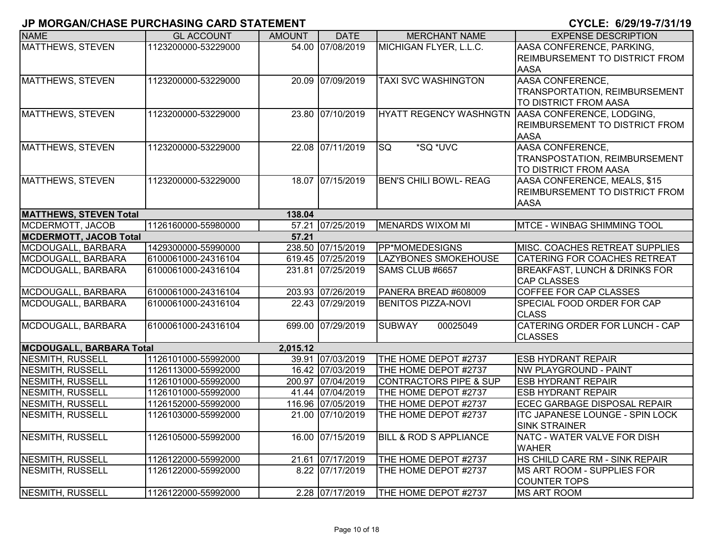| <b>NAME</b>                     | <b>GL ACCOUNT</b>   | <b>AMOUNT</b> | <b>DATE</b>       | <b>MERCHANT NAME</b>              | <b>EXPENSE DESCRIPTION</b>                                     |
|---------------------------------|---------------------|---------------|-------------------|-----------------------------------|----------------------------------------------------------------|
| <b>MATTHEWS, STEVEN</b>         | 1123200000-53229000 |               | 54.00 07/08/2019  | MICHIGAN FLYER, L.L.C.            | AASA CONFERENCE, PARKING,                                      |
|                                 |                     |               |                   |                                   | REIMBURSEMENT TO DISTRICT FROM                                 |
|                                 |                     |               |                   |                                   | <b>AASA</b>                                                    |
| <b>MATTHEWS, STEVEN</b>         | 1123200000-53229000 |               | 20.09 07/09/2019  | <b>TAXI SVC WASHINGTON</b>        | <b>AASA CONFERENCE,</b>                                        |
|                                 |                     |               |                   |                                   | TRANSPORTATION, REIMBURSEMENT                                  |
|                                 |                     |               |                   |                                   | TO DISTRICT FROM AASA                                          |
| MATTHEWS, STEVEN                | 1123200000-53229000 |               | 23.80 07/10/2019  | <b>HYATT REGENCY WASHNGTN</b>     | AASA CONFERENCE, LODGING,                                      |
|                                 |                     |               |                   |                                   | REIMBURSEMENT TO DISTRICT FROM                                 |
|                                 |                     |               |                   |                                   | <b>AASA</b>                                                    |
| MATTHEWS, STEVEN                | 1123200000-53229000 |               | 22.08 07/11/2019  | *SQ *UVC<br><b>SQ</b>             | AASA CONFERENCE,                                               |
|                                 |                     |               |                   |                                   | TRANSPOSTATION, REIMBURSEMENT                                  |
|                                 |                     |               |                   |                                   | TO DISTRICT FROM AASA                                          |
| MATTHEWS, STEVEN                | 1123200000-53229000 |               | 18.07 07/15/2019  | <b>BEN'S CHILI BOWL- REAG</b>     | AASA CONFERENCE, MEALS, \$15                                   |
|                                 |                     |               |                   |                                   | REIMBURSEMENT TO DISTRICT FROM                                 |
|                                 |                     |               |                   |                                   | <b>AASA</b>                                                    |
| <b>MATTHEWS, STEVEN Total</b>   |                     | 138.04        |                   |                                   |                                                                |
| MCDERMOTT, JACOB                | 1126160000-55980000 |               | 57.21 07/25/2019  | <b>MENARDS WIXOM MI</b>           | <b>MTCE - WINBAG SHIMMING TOOL</b>                             |
| <b>MCDERMOTT, JACOB Total</b>   |                     | 57.21         |                   |                                   |                                                                |
| MCDOUGALL, BARBARA              | 1429300000-55990000 |               | 238.50 07/15/2019 | PP*MOMEDESIGNS                    | MISC. COACHES RETREAT SUPPLIES                                 |
| MCDOUGALL, BARBARA              | 6100061000-24316104 |               | 619.45 07/25/2019 | <b>LAZYBONES SMOKEHOUSE</b>       | CATERING FOR COACHES RETREAT                                   |
| MCDOUGALL, BARBARA              | 6100061000-24316104 |               | 231.81 07/25/2019 | SAMS CLUB #6657                   | <b>BREAKFAST, LUNCH &amp; DRINKS FOR</b><br><b>CAP CLASSES</b> |
| MCDOUGALL, BARBARA              | 6100061000-24316104 |               | 203.93 07/26/2019 | PANERA BREAD #608009              | <b>COFFEE FOR CAP CLASSES</b>                                  |
| MCDOUGALL, BARBARA              | 6100061000-24316104 |               | 22.43 07/29/2019  | <b>BENITOS PIZZA-NOVI</b>         | SPECIAL FOOD ORDER FOR CAP                                     |
|                                 |                     |               |                   |                                   | <b>CLASS</b>                                                   |
| MCDOUGALL, BARBARA              | 6100061000-24316104 |               | 699.00 07/29/2019 | <b>SUBWAY</b><br>00025049         | CATERING ORDER FOR LUNCH - CAP                                 |
|                                 |                     |               |                   |                                   | <b>CLASSES</b>                                                 |
| <b>MCDOUGALL, BARBARA Total</b> |                     | 2,015.12      |                   |                                   |                                                                |
| <b>NESMITH, RUSSELL</b>         | 1126101000-55992000 |               | 39.91 07/03/2019  | THE HOME DEPOT #2737              | <b>ESB HYDRANT REPAIR</b>                                      |
| <b>NESMITH, RUSSELL</b>         | 1126113000-55992000 |               | 16.42 07/03/2019  | THE HOME DEPOT #2737              | <b>NW PLAYGROUND - PAINT</b>                                   |
| <b>NESMITH, RUSSELL</b>         | 1126101000-55992000 |               | 200.97 07/04/2019 | <b>CONTRACTORS PIPE &amp; SUP</b> | <b>ESB HYDRANT REPAIR</b>                                      |
| <b>NESMITH, RUSSELL</b>         | 1126101000-55992000 |               | 41.44 07/04/2019  | THE HOME DEPOT #2737              | <b>ESB HYDRANT REPAIR</b>                                      |
| <b>NESMITH, RUSSELL</b>         | 1126152000-55992000 |               | 116.96 07/05/2019 | THE HOME DEPOT #2737              | ECEC GARBAGE DISPOSAL REPAIR                                   |
| <b>NESMITH, RUSSELL</b>         | 1126103000-55992000 |               | 21.00 07/10/2019  | THE HOME DEPOT #2737              | <b>ITC JAPANESE LOUNGE - SPIN LOCK</b>                         |
|                                 |                     |               |                   |                                   | <b>SINK STRAINER</b>                                           |
| <b>NESMITH, RUSSELL</b>         | 1126105000-55992000 |               | 16.00 07/15/2019  | <b>BILL &amp; ROD S APPLIANCE</b> | NATC - WATER VALVE FOR DISH                                    |
|                                 |                     |               |                   |                                   | <b>WAHER</b>                                                   |
| NESMITH, RUSSELL                | 1126122000-55992000 |               | 21.61 07/17/2019  | THE HOME DEPOT #2737              | HS CHILD CARE RM - SINK REPAIR                                 |
| NESMITH, RUSSELL                | 1126122000-55992000 |               | 8.22 07/17/2019   | THE HOME DEPOT #2737              | MS ART ROOM - SUPPLIES FOR                                     |
|                                 |                     |               |                   |                                   | <b>COUNTER TOPS</b>                                            |
| NESMITH, RUSSELL                | 1126122000-55992000 |               | 2.28 07/17/2019   | THE HOME DEPOT #2737              | <b>MS ART ROOM</b>                                             |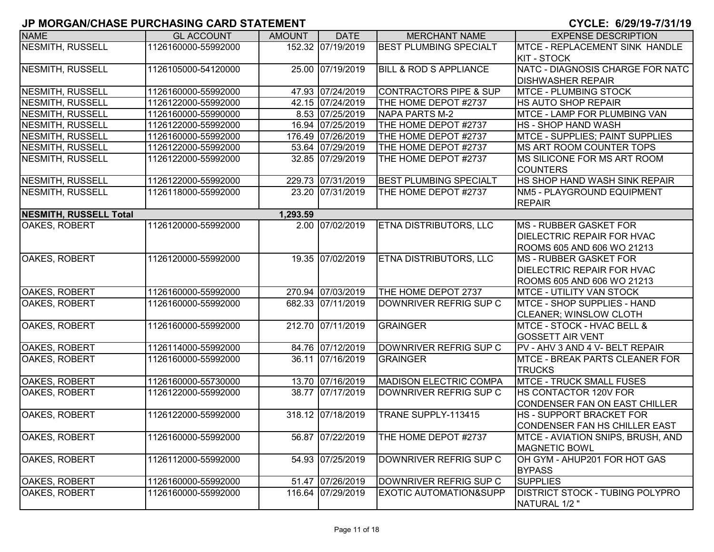| <b>NAME</b>                   | <b>GL ACCOUNT</b>   | <b>AMOUNT</b> | <b>DATE</b>       | <b>MERCHANT NAME</b>              | <b>EXPENSE DESCRIPTION</b>               |
|-------------------------------|---------------------|---------------|-------------------|-----------------------------------|------------------------------------------|
| <b>NESMITH, RUSSELL</b>       | 1126160000-55992000 |               | 152.32 07/19/2019 | <b>BEST PLUMBING SPECIALT</b>     | <b>MTCE - REPLACEMENT SINK HANDLE</b>    |
|                               |                     |               |                   |                                   | <b>KIT - STOCK</b>                       |
| <b>NESMITH, RUSSELL</b>       | 1126105000-54120000 |               | 25.00 07/19/2019  | <b>BILL &amp; ROD S APPLIANCE</b> | NATC - DIAGNOSIS CHARGE FOR NATC         |
|                               |                     |               |                   |                                   | <b>DISHWASHER REPAIR</b>                 |
| <b>NESMITH, RUSSELL</b>       | 1126160000-55992000 |               | 47.93 07/24/2019  | <b>CONTRACTORS PIPE &amp; SUP</b> | <b>MTCE - PLUMBING STOCK</b>             |
| <b>NESMITH, RUSSELL</b>       | 1126122000-55992000 |               | 42.15 07/24/2019  | THE HOME DEPOT #2737              | <b>HS AUTO SHOP REPAIR</b>               |
| <b>NESMITH, RUSSELL</b>       | 1126160000-55990000 |               | 8.53 07/25/2019   | <b>NAPA PARTS M-2</b>             | MTCE - LAMP FOR PLUMBING VAN             |
| <b>NESMITH, RUSSELL</b>       | 1126122000-55992000 |               | 16.94 07/25/2019  | THE HOME DEPOT #2737              | <b>HS - SHOP HAND WASH</b>               |
| <b>NESMITH, RUSSELL</b>       | 1126160000-55992000 |               | 176.49 07/26/2019 | THE HOME DEPOT #2737              | MTCE - SUPPLIES; PAINT SUPPLIES          |
| <b>NESMITH, RUSSELL</b>       | 1126122000-55992000 |               | 53.64 07/29/2019  | THE HOME DEPOT #2737              | MS ART ROOM COUNTER TOPS                 |
| NESMITH, RUSSELL              | 1126122000-55992000 |               | 32.85 07/29/2019  | THE HOME DEPOT #2737              | MS SILICONE FOR MS ART ROOM              |
|                               |                     |               |                   |                                   | <b>COUNTERS</b>                          |
| <b>NESMITH, RUSSELL</b>       | 1126122000-55992000 |               | 229.73 07/31/2019 | <b>BEST PLUMBING SPECIALT</b>     | HS SHOP HAND WASH SINK REPAIR            |
| <b>NESMITH, RUSSELL</b>       | 1126118000-55992000 |               | 23.20 07/31/2019  | THE HOME DEPOT #2737              | NM5 - PLAYGROUND EQUIPMENT               |
|                               |                     |               |                   |                                   | <b>REPAIR</b>                            |
| <b>NESMITH, RUSSELL Total</b> |                     | 1,293.59      |                   |                                   |                                          |
| OAKES, ROBERT                 | 1126120000-55992000 |               | 2.00 07/02/2019   | <b>ETNA DISTRIBUTORS, LLC</b>     | <b>MS - RUBBER GASKET FOR</b>            |
|                               |                     |               |                   |                                   | <b>DIELECTRIC REPAIR FOR HVAC</b>        |
|                               |                     |               |                   |                                   | ROOMS 605 AND 606 WO 21213               |
| OAKES, ROBERT                 | 1126120000-55992000 |               | 19.35 07/02/2019  | ETNA DISTRIBUTORS, LLC            | MS - RUBBER GASKET FOR                   |
|                               |                     |               |                   |                                   | <b>DIELECTRIC REPAIR FOR HVAC</b>        |
|                               |                     |               |                   |                                   | ROOMS 605 AND 606 WO 21213               |
| OAKES, ROBERT                 | 1126160000-55992000 |               | 270.94 07/03/2019 | THE HOME DEPOT 2737               | <b>MTCE - UTILITY VAN STOCK</b>          |
| <b>OAKES, ROBERT</b>          | 1126160000-55992000 |               | 682.33 07/11/2019 | DOWNRIVER REFRIG SUP C            | MTCE - SHOP SUPPLIES - HAND              |
|                               |                     |               |                   |                                   | <b>CLEANER; WINSLOW CLOTH</b>            |
| OAKES, ROBERT                 | 1126160000-55992000 |               | 212.70 07/11/2019 | <b>GRAINGER</b>                   | <b>MTCE - STOCK - HVAC BELL &amp;</b>    |
|                               |                     |               |                   |                                   | <b>GOSSETT AIR VENT</b>                  |
| OAKES, ROBERT                 | 1126114000-55992000 |               | 84.76 07/12/2019  | DOWNRIVER REFRIG SUP C            | PV - AHV 3 AND 4 V- BELT REPAIR          |
| OAKES, ROBERT                 | 1126160000-55992000 |               | 36.11 07/16/2019  | <b>GRAINGER</b>                   | <b>MTCE - BREAK PARTS CLEANER FOR</b>    |
|                               |                     |               |                   |                                   | <b>TRUCKS</b>                            |
| OAKES, ROBERT                 | 1126160000-55730000 |               | 13.70 07/16/2019  | <b>MADISON ELECTRIC COMPA</b>     | <b>MTCE - TRUCK SMALL FUSES</b>          |
| OAKES, ROBERT                 | 1126122000-55992000 |               | 38.77 07/17/2019  | DOWNRIVER REFRIG SUP C            | <b>HS CONTACTOR 120V FOR</b>             |
|                               |                     |               |                   |                                   | CONDENSER FAN ON EAST CHILLER            |
| OAKES, ROBERT                 | 1126122000-55992000 |               | 318.12 07/18/2019 | TRANE SUPPLY-113415               | <b>HS - SUPPORT BRACKET FOR</b>          |
|                               |                     |               |                   |                                   | CONDENSER FAN HS CHILLER EAST            |
| OAKES, ROBERT                 | 1126160000-55992000 |               | 56.87 07/22/2019  | THE HOME DEPOT #2737              | <b>MTCE - AVIATION SNIPS, BRUSH, AND</b> |
|                               |                     |               |                   |                                   | <b>MAGNETIC BOWL</b>                     |
| OAKES, ROBERT                 | 1126112000-55992000 |               | 54.93 07/25/2019  | DOWNRIVER REFRIG SUP C            | OH GYM - AHUP201 FOR HOT GAS             |
|                               |                     |               |                   |                                   | <b>BYPASS</b>                            |
| OAKES, ROBERT                 | 1126160000-55992000 |               | 51.47 07/26/2019  | DOWNRIVER REFRIG SUP C            | <b>SUPPLIES</b>                          |
| OAKES, ROBERT                 | 1126160000-55992000 |               | 116.64 07/29/2019 | <b>EXOTIC AUTOMATION&amp;SUPP</b> | <b>DISTRICT STOCK - TUBING POLYPRO</b>   |
|                               |                     |               |                   |                                   | NATURAL 1/2"                             |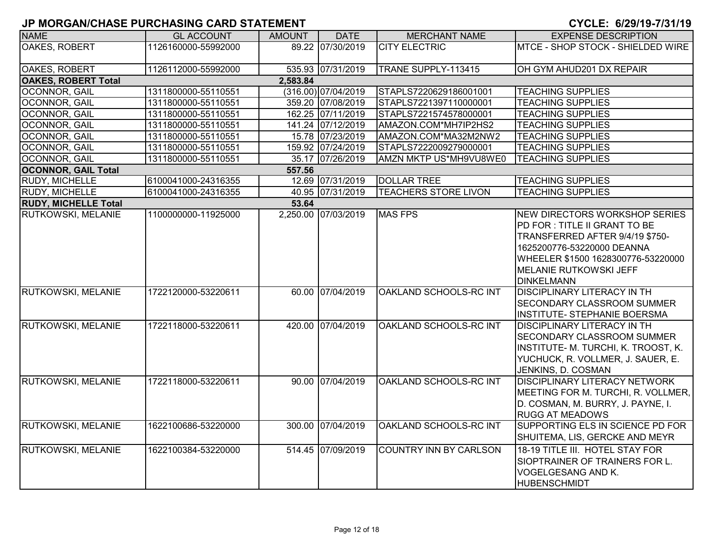| <b>NAME</b>                 | <b>GL ACCOUNT</b>   | <b>AMOUNT</b> | <b>DATE</b>         | <b>MERCHANT NAME</b>          | <b>EXPENSE DESCRIPTION</b>           |
|-----------------------------|---------------------|---------------|---------------------|-------------------------------|--------------------------------------|
| OAKES, ROBERT               | 1126160000-55992000 |               | 89.22 07/30/2019    | <b>CITY ELECTRIC</b>          | MTCE - SHOP STOCK - SHIELDED WIRE    |
|                             |                     |               |                     |                               |                                      |
| <b>OAKES, ROBERT</b>        | 1126112000-55992000 |               | 535.93 07/31/2019   | TRANE SUPPLY-113415           | OH GYM AHUD201 DX REPAIR             |
| <b>OAKES, ROBERT Total</b>  |                     | 2,583.84      |                     |                               |                                      |
| OCONNOR, GAIL               | 1311800000-55110551 |               | (316.00) 07/04/2019 | STAPLS7220629186001001        | <b>TEACHING SUPPLIES</b>             |
| OCONNOR, GAIL               | 1311800000-55110551 |               | 359.20 07/08/2019   | STAPLS7221397110000001        | <b>TEACHING SUPPLIES</b>             |
| OCONNOR, GAIL               | 1311800000-55110551 |               | 162.25 07/11/2019   | STAPLS7221574578000001        | <b>TEACHING SUPPLIES</b>             |
| OCONNOR, GAIL               | 1311800000-55110551 |               | 141.24 07/12/2019   | AMAZON.COM*MH7IP2HS2          | <b>TEACHING SUPPLIES</b>             |
| OCONNOR, GAIL               | 1311800000-55110551 |               | 15.78 07/23/2019    | AMAZON.COM*MA32M2NW2          | <b>TEACHING SUPPLIES</b>             |
| OCONNOR, GAIL               | 1311800000-55110551 |               | 159.92 07/24/2019   | STAPLS7222009279000001        | <b>TEACHING SUPPLIES</b>             |
| OCONNOR, GAIL               | 1311800000-55110551 |               | 35.17 07/26/2019    | AMZN MKTP US*MH9VU8WE0        | <b>TEACHING SUPPLIES</b>             |
| <b>OCONNOR, GAIL Total</b>  |                     | 557.56        |                     |                               |                                      |
| <b>RUDY, MICHELLE</b>       | 6100041000-24316355 |               | 12.69 07/31/2019    | <b>DOLLAR TREE</b>            | <b>TEACHING SUPPLIES</b>             |
| RUDY, MICHELLE              | 6100041000-24316355 |               | 40.95 07/31/2019    | <b>TEACHERS STORE LIVON</b>   | <b>TEACHING SUPPLIES</b>             |
| <b>RUDY, MICHELLE Total</b> |                     | 53.64         |                     |                               |                                      |
| <b>RUTKOWSKI, MELANIE</b>   | 1100000000-11925000 |               | 2,250.00 07/03/2019 | <b>MAS FPS</b>                | NEW DIRECTORS WORKSHOP SERIES        |
|                             |                     |               |                     |                               | PD FOR: TITLE II GRANT TO BE         |
|                             |                     |               |                     |                               | TRANSFERRED AFTER 9/4/19 \$750-      |
|                             |                     |               |                     |                               | 1625200776-53220000 DEANNA           |
|                             |                     |               |                     |                               | WHEELER \$1500 1628300776-53220000   |
|                             |                     |               |                     |                               | <b>MELANIE RUTKOWSKI JEFF</b>        |
|                             |                     |               |                     |                               | <b>DINKELMANN</b>                    |
| <b>RUTKOWSKI, MELANIE</b>   | 1722120000-53220611 |               | 60.00 07/04/2019    | OAKLAND SCHOOLS-RC INT        | <b>DISCIPLINARY LITERACY IN TH</b>   |
|                             |                     |               |                     |                               | <b>SECONDARY CLASSROOM SUMMER</b>    |
|                             |                     |               |                     |                               | <b>INSTITUTE- STEPHANIE BOERSMA</b>  |
| RUTKOWSKI, MELANIE          | 1722118000-53220611 |               | 420.00 07/04/2019   | OAKLAND SCHOOLS-RC INT        | <b>DISCIPLINARY LITERACY IN TH</b>   |
|                             |                     |               |                     |                               | <b>SECONDARY CLASSROOM SUMMER</b>    |
|                             |                     |               |                     |                               | INSTITUTE- M. TURCHI, K. TROOST, K.  |
|                             |                     |               |                     |                               | YUCHUCK, R. VOLLMER, J. SAUER, E.    |
|                             |                     |               |                     |                               | JENKINS, D. COSMAN                   |
| <b>RUTKOWSKI, MELANIE</b>   | 1722118000-53220611 |               | 90.00 07/04/2019    | OAKLAND SCHOOLS-RC INT        | <b>DISCIPLINARY LITERACY NETWORK</b> |
|                             |                     |               |                     |                               | MEETING FOR M. TURCHI, R. VOLLMER,   |
|                             |                     |               |                     |                               | D. COSMAN, M. BURRY, J. PAYNE, I.    |
|                             |                     |               |                     |                               | <b>RUGG AT MEADOWS</b>               |
| <b>RUTKOWSKI, MELANIE</b>   | 1622100686-53220000 |               | 300.00 07/04/2019   | OAKLAND SCHOOLS-RC INT        | SUPPORTING ELS IN SCIENCE PD FOR     |
|                             |                     |               |                     |                               | SHUITEMA, LIS, GERCKE AND MEYR       |
| RUTKOWSKI, MELANIE          | 1622100384-53220000 |               | 514.45 07/09/2019   | <b>COUNTRY INN BY CARLSON</b> | 18-19 TITLE III. HOTEL STAY FOR      |
|                             |                     |               |                     |                               | SIOPTRAINER OF TRAINERS FOR L.       |
|                             |                     |               |                     |                               | VOGELGESANG AND K.                   |
|                             |                     |               |                     |                               | IHUBENSCHMIDT                        |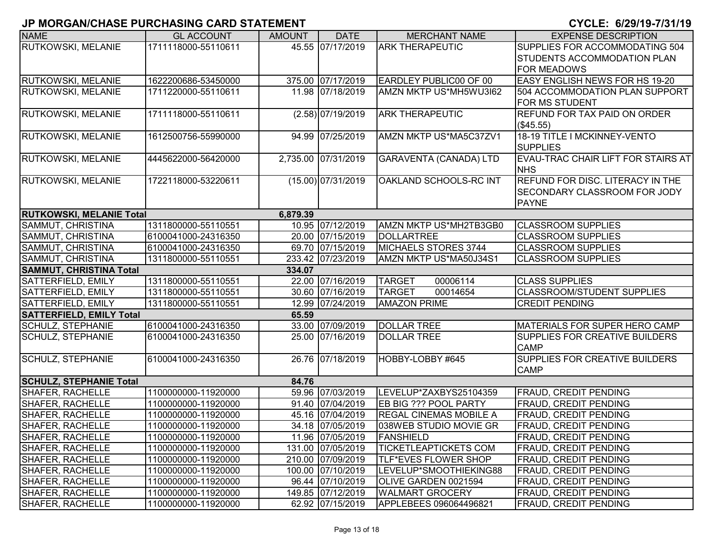| <b>NAME</b>                     | <b>GL ACCOUNT</b>   | <b>AMOUNT</b> | <b>DATE</b>          | <b>MERCHANT NAME</b>          | <b>EXPENSE DESCRIPTION</b>                       |
|---------------------------------|---------------------|---------------|----------------------|-------------------------------|--------------------------------------------------|
| RUTKOWSKI, MELANIE              | 1711118000-55110611 |               | 45.55 07/17/2019     | <b>ARK THERAPEUTIC</b>        | SUPPLIES FOR ACCOMMODATING 504                   |
|                                 |                     |               |                      |                               | <b>STUDENTS ACCOMMODATION PLAN</b>               |
|                                 |                     |               |                      |                               | <b>FOR MEADOWS</b>                               |
| RUTKOWSKI, MELANIE              | 1622200686-53450000 |               | 375.00 07/17/2019    | <b>EARDLEY PUBLIC00 OF 00</b> | <b>EASY ENGLISH NEWS FOR HS 19-20</b>            |
| <b>RUTKOWSKI, MELANIE</b>       | 1711220000-55110611 |               | 11.98 07/18/2019     | AMZN MKTP US*MH5WU3I62        | 504 ACCOMMODATION PLAN SUPPORT                   |
|                                 |                     |               |                      |                               | <b>FOR MS STUDENT</b>                            |
| RUTKOWSKI, MELANIE              | 1711118000-55110611 |               | $(2.58)$ 07/19/2019  | <b>ARK THERAPEUTIC</b>        | <b>REFUND FOR TAX PAID ON ORDER</b><br>(\$45.55) |
| <b>RUTKOWSKI, MELANIE</b>       | 1612500756-55990000 |               | 94.99 07/25/2019     | AMZN MKTP US*MA5C37ZV1        | 18-19 TITLE I MCKINNEY-VENTO                     |
|                                 |                     |               |                      |                               | <b>SUPPLIES</b>                                  |
| RUTKOWSKI, MELANIE              | 4445622000-56420000 |               | 2,735.00 07/31/2019  | GARAVENTA (CANADA) LTD        | <b>IEVAU-TRAC CHAIR LIFT FOR STAIRS AT</b>       |
|                                 |                     |               |                      |                               | <b>NHS</b>                                       |
| <b>RUTKOWSKI, MELANIE</b>       | 1722118000-53220611 |               | $(15.00)$ 07/31/2019 | OAKLAND SCHOOLS-RC INT        | <b>REFUND FOR DISC. LITERACY IN THE</b>          |
|                                 |                     |               |                      |                               | <b>SECONDARY CLASSROOM FOR JODY</b>              |
|                                 |                     |               |                      |                               | <b>PAYNE</b>                                     |
| <b>RUTKOWSKI, MELANIE Total</b> |                     | 6,879.39      |                      |                               |                                                  |
| SAMMUT, CHRISTINA               | 1311800000-55110551 |               | 10.95 07/12/2019     | AMZN MKTP US*MH2TB3GB0        | <b>CLASSROOM SUPPLIES</b>                        |
| SAMMUT, CHRISTINA               | 6100041000-24316350 |               | 20.00 07/15/2019     | <b>DOLLARTREE</b>             | <b>CLASSROOM SUPPLIES</b>                        |
| SAMMUT, CHRISTINA               | 6100041000-24316350 |               | 69.70 07/15/2019     | <b>MICHAELS STORES 3744</b>   | <b>CLASSROOM SUPPLIES</b>                        |
| SAMMUT, CHRISTINA               | 1311800000-55110551 |               | 233.42 07/23/2019    | AMZN MKTP US*MA50J34S1        | <b>CLASSROOM SUPPLIES</b>                        |
| <b>SAMMUT, CHRISTINA Total</b>  |                     | 334.07        |                      |                               |                                                  |
| SATTERFIELD, EMILY              | 1311800000-55110551 |               | 22.00 07/16/2019     | <b>TARGET</b><br>00006114     | <b>CLASS SUPPLIES</b>                            |
| <b>SATTERFIELD, EMILY</b>       | 1311800000-55110551 |               | 30.60 07/16/2019     | <b>TARGET</b><br>00014654     | <b>CLASSROOM/STUDENT SUPPLIES</b>                |
| <b>SATTERFIELD, EMILY</b>       | 1311800000-55110551 |               | 12.99 07/24/2019     | <b>AMAZON PRIME</b>           | <b>CREDIT PENDING</b>                            |
| <b>SATTERFIELD, EMILY Total</b> |                     | 65.59         |                      |                               |                                                  |
| <b>SCHULZ, STEPHANIE</b>        | 6100041000-24316350 |               | 33.00 07/09/2019     | <b>DOLLAR TREE</b>            | MATERIALS FOR SUPER HERO CAMP                    |
| <b>SCHULZ, STEPHANIE</b>        | 6100041000-24316350 |               | 25.00 07/16/2019     | <b>DOLLAR TREE</b>            | SUPPLIES FOR CREATIVE BUILDERS<br><b>CAMP</b>    |
| <b>SCHULZ, STEPHANIE</b>        | 6100041000-24316350 |               | 26.76 07/18/2019     | HOBBY-LOBBY #645              | SUPPLIES FOR CREATIVE BUILDERS                   |
|                                 |                     |               |                      |                               | <b>CAMP</b>                                      |
| <b>SCHULZ, STEPHANIE Total</b>  |                     | 84.76         |                      |                               |                                                  |
| <b>SHAFER, RACHELLE</b>         | 1100000000-11920000 |               | 59.96 07/03/2019     | LEVELUP*ZAXBYS25104359        | <b>FRAUD, CREDIT PENDING</b>                     |
| SHAFER, RACHELLE                | 1100000000-11920000 |               | 91.40 07/04/2019     | EB BIG ??? POOL PARTY         | <b>FRAUD, CREDIT PENDING</b>                     |
| SHAFER, RACHELLE                | 1100000000-11920000 |               | 45.16 07/04/2019     | <b>REGAL CINEMAS MOBILE A</b> | <b>FRAUD, CREDIT PENDING</b>                     |
| SHAFER, RACHELLE                | 1100000000-11920000 |               | 34.18 07/05/2019     | 038WEB STUDIO MOVIE GR        | <b>FRAUD, CREDIT PENDING</b>                     |
| <b>SHAFER, RACHELLE</b>         | 1100000000-11920000 |               | 11.96 07/05/2019     | <b>FANSHIELD</b>              | <b>FRAUD, CREDIT PENDING</b>                     |
| <b>SHAFER, RACHELLE</b>         | 1100000000-11920000 |               | 131.00 07/05/2019    | <b>TICKETLEAPTICKETS COM</b>  | <b>FRAUD, CREDIT PENDING</b>                     |
| <b>SHAFER, RACHELLE</b>         | 1100000000-11920000 |               | 210.00 07/09/2019    | <b>TLF*EVES FLOWER SHOP</b>   | <b>FRAUD, CREDIT PENDING</b>                     |
| <b>SHAFER, RACHELLE</b>         | 1100000000-11920000 |               | 100.00 07/10/2019    | LEVELUP*SMOOTHIEKING88        | <b>FRAUD, CREDIT PENDING</b>                     |
| <b>SHAFER, RACHELLE</b>         | 1100000000-11920000 |               | 96.44 07/10/2019     | OLIVE GARDEN 0021594          | <b>FRAUD, CREDIT PENDING</b>                     |
| SHAFER, RACHELLE                | 1100000000-11920000 |               | 149.85 07/12/2019    | <b>WALMART GROCERY</b>        | <b>FRAUD, CREDIT PENDING</b>                     |
| SHAFER, RACHELLE                | 1100000000-11920000 |               | 62.92 07/15/2019     | APPLEBEES 096064496821        | FRAUD, CREDIT PENDING                            |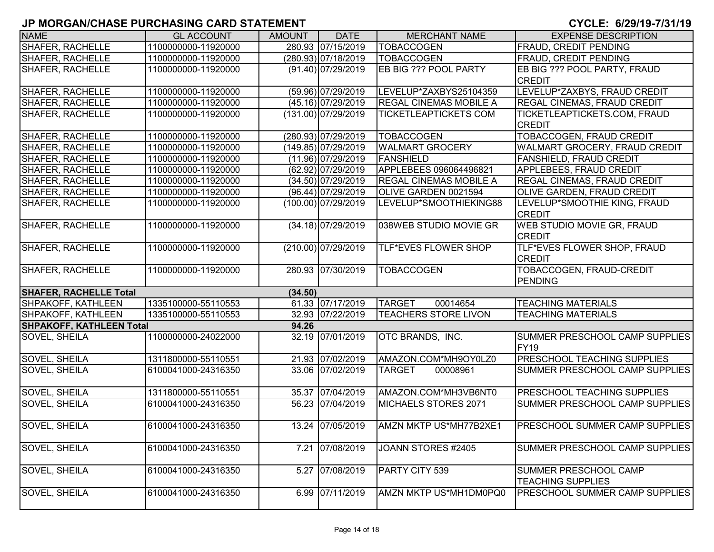| <b>NAME</b>                              | <b>GL ACCOUNT</b>                        | <b>AMOUNT</b> | <b>DATE</b>           | <b>MERCHANT NAME</b>          | <b>EXPENSE DESCRIPTION</b>            |  |  |
|------------------------------------------|------------------------------------------|---------------|-----------------------|-------------------------------|---------------------------------------|--|--|
| <b>SHAFER, RACHELLE</b>                  | 1100000000-11920000                      |               | 280.93 07/15/2019     | <b>TOBACCOGEN</b>             | <b>FRAUD, CREDIT PENDING</b>          |  |  |
| <b>SHAFER, RACHELLE</b>                  | 1100000000-11920000                      |               | (280.93) 07/18/2019   | <b>TOBACCOGEN</b>             | FRAUD, CREDIT PENDING                 |  |  |
| <b>SHAFER, RACHELLE</b>                  | 1100000000-11920000                      |               | $(91.40)$ 07/29/2019  | <b>EB BIG ??? POOL PARTY</b>  | EB BIG ??? POOL PARTY, FRAUD          |  |  |
|                                          |                                          |               |                       |                               | <b>CREDIT</b>                         |  |  |
| <b>SHAFER, RACHELLE</b>                  | 1100000000-11920000                      |               | (59.96) 07/29/2019    | LEVELUP*ZAXBYS25104359        | LEVELUP*ZAXBYS, FRAUD CREDIT          |  |  |
| <b>SHAFER, RACHELLE</b>                  | 1100000000-11920000                      |               | $(45.16)$ 07/29/2019  | <b>REGAL CINEMAS MOBILE A</b> | REGAL CINEMAS, FRAUD CREDIT           |  |  |
| <b>SHAFER, RACHELLE</b>                  | 1100000000-11920000                      |               | $(131.00)$ 07/29/2019 | TICKETLEAPTICKETS COM         | TICKETLEAPTICKETS.COM, FRAUD          |  |  |
|                                          |                                          |               |                       |                               | <b>CREDIT</b>                         |  |  |
| SHAFER, RACHELLE                         | 1100000000-11920000                      |               | (280.93) 07/29/2019   | <b>TOBACCOGEN</b>             | <b>TOBACCOGEN, FRAUD CREDIT</b>       |  |  |
| <b>SHAFER, RACHELLE</b>                  | 1100000000-11920000                      |               | (149.85) 07/29/2019   | <b>WALMART GROCERY</b>        | WALMART GROCERY, FRAUD CREDIT         |  |  |
| SHAFER, RACHELLE                         | 1100000000-11920000                      |               | $(11.96)$ 07/29/2019  | FANSHIELD                     | <b>FANSHIELD, FRAUD CREDIT</b>        |  |  |
| <b>SHAFER, RACHELLE</b>                  | 1100000000-11920000                      |               | (62.92) 07/29/2019    | APPLEBEES 096064496821        | APPLEBEES, FRAUD CREDIT               |  |  |
| <b>SHAFER, RACHELLE</b>                  | 1100000000-11920000                      |               | (34.50) 07/29/2019    | <b>REGAL CINEMAS MOBILE A</b> | <b>REGAL CINEMAS, FRAUD CREDIT</b>    |  |  |
| <b>SHAFER, RACHELLE</b>                  | 1100000000-11920000                      |               | $(96.44)$ 07/29/2019  | OLIVE GARDEN 0021594          | OLIVE GARDEN, FRAUD CREDIT            |  |  |
| <b>SHAFER, RACHELLE</b>                  | 1100000000-11920000                      |               | $(100.00)$ 07/29/2019 | LEVELUP*SMOOTHIEKING88        | LEVELUP*SMOOTHIE KING, FRAUD          |  |  |
|                                          |                                          |               |                       |                               | <b>CREDIT</b>                         |  |  |
| <b>SHAFER, RACHELLE</b>                  | 1100000000-11920000                      |               | $(34.18)$ 07/29/2019  | 038WEB STUDIO MOVIE GR        | WEB STUDIO MOVIE GR, FRAUD            |  |  |
|                                          |                                          |               |                       |                               | <b>CREDIT</b>                         |  |  |
| <b>SHAFER, RACHELLE</b>                  | 1100000000-11920000                      |               | (210.00) 07/29/2019   | <b>TLF*EVES FLOWER SHOP</b>   | TLF*EVES FLOWER SHOP, FRAUD           |  |  |
|                                          |                                          |               |                       |                               | <b>CREDIT</b>                         |  |  |
| <b>SHAFER, RACHELLE</b>                  | 1100000000-11920000                      |               | 280.93 07/30/2019     | <b>TOBACCOGEN</b>             | TOBACCOGEN, FRAUD-CREDIT              |  |  |
|                                          |                                          |               |                       |                               | <b>PENDING</b>                        |  |  |
| <b>SHAFER, RACHELLE Total</b><br>(34.50) |                                          |               |                       |                               |                                       |  |  |
| SHPAKOFF, KATHLEEN                       | 1335100000-55110553                      |               | 61.33 07/17/2019      | <b>TARGET</b><br>00014654     | <b>TEACHING MATERIALS</b>             |  |  |
| SHPAKOFF, KATHLEEN                       | 1335100000-55110553                      |               | 32.93 07/22/2019      | <b>TEACHERS STORE LIVON</b>   | <b>TEACHING MATERIALS</b>             |  |  |
|                                          | <b>SHPAKOFF, KATHLEEN Total</b><br>94.26 |               |                       |                               |                                       |  |  |
| SOVEL, SHEILA                            | 1100000000-24022000                      |               | 32.19 07/01/2019      | OTC BRANDS, INC.              | SUMMER PRESCHOOL CAMP SUPPLIES        |  |  |
|                                          |                                          |               |                       |                               | <b>FY19</b>                           |  |  |
| <b>SOVEL, SHEILA</b>                     | 1311800000-55110551                      |               | 21.93 07/02/2019      | AMAZON.COM*MH9OY0LZ0          | PRESCHOOL TEACHING SUPPLIES           |  |  |
| SOVEL, SHEILA                            | 6100041000-24316350                      |               | 33.06 07/02/2019      | <b>TARGET</b><br>00008961     | <b>SUMMER PRESCHOOL CAMP SUPPLIES</b> |  |  |
|                                          |                                          |               |                       |                               |                                       |  |  |
| <b>SOVEL, SHEILA</b>                     | 1311800000-55110551                      |               | 35.37 07/04/2019      | AMAZON.COM*MH3VB6NT0          | PRESCHOOL TEACHING SUPPLIES           |  |  |
| SOVEL, SHEILA                            | 6100041000-24316350                      |               | 56.23 07/04/2019      | MICHAELS STORES 2071          | SUMMER PRESCHOOL CAMP SUPPLIES        |  |  |
|                                          |                                          |               |                       |                               |                                       |  |  |
| <b>SOVEL, SHEILA</b>                     | 6100041000-24316350                      |               | 13.24 07/05/2019      | AMZN MKTP US*MH77B2XE1        | PRESCHOOL SUMMER CAMP SUPPLIES        |  |  |
|                                          |                                          |               |                       |                               |                                       |  |  |
| <b>SOVEL, SHEILA</b>                     | 6100041000-24316350                      |               | 7.21 07/08/2019       | JOANN STORES #2405            | SUMMER PRESCHOOL CAMP SUPPLIES        |  |  |
|                                          |                                          |               |                       |                               |                                       |  |  |
| SOVEL, SHEILA                            | 6100041000-24316350                      | 5.27          | 07/08/2019            | PARTY CITY 539                | SUMMER PRESCHOOL CAMP                 |  |  |
|                                          |                                          |               |                       |                               | <b>TEACHING SUPPLIES</b>              |  |  |
| SOVEL, SHEILA                            | 6100041000-24316350                      |               | 6.99 07/11/2019       | AMZN MKTP US*MH1DM0PQ0        | PRESCHOOL SUMMER CAMP SUPPLIES        |  |  |
|                                          |                                          |               |                       |                               |                                       |  |  |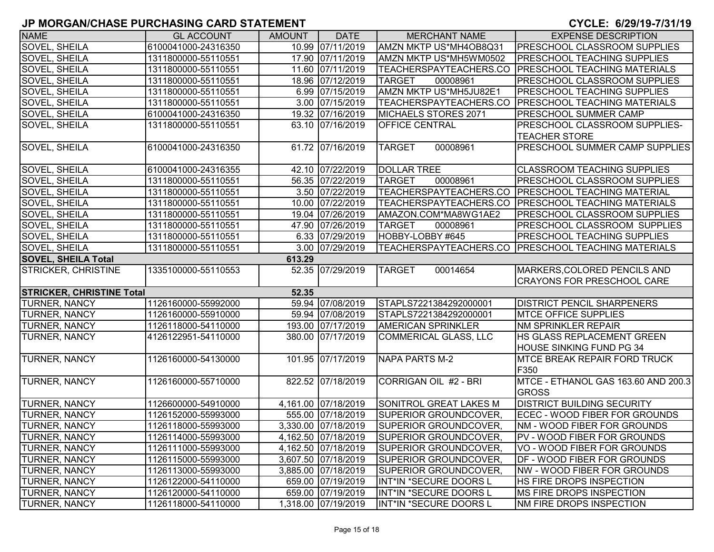| <b>NAME</b>                      | <b>GL ACCOUNT</b>   | <b>AMOUNT</b> | <b>DATE</b>         | <b>MERCHANT NAME</b>         | <b>EXPENSE DESCRIPTION</b>          |
|----------------------------------|---------------------|---------------|---------------------|------------------------------|-------------------------------------|
| SOVEL, SHEILA                    | 6100041000-24316350 |               | 10.99 07/11/2019    | AMZN MKTP US*MH4OB8Q31       | <b>PRESCHOOL CLASSROOM SUPPLIES</b> |
| SOVEL, SHEILA                    | 1311800000-55110551 |               | 17.90 07/11/2019    | AMZN MKTP US*MH5WM0502       | <b>PRESCHOOL TEACHING SUPPLIES</b>  |
| SOVEL, SHEILA                    | 1311800000-55110551 |               | 11.60 07/11/2019    | TEACHERSPAYTEACHERS.CO       | <b>PRESCHOOL TEACHING MATERIALS</b> |
| SOVEL, SHEILA                    | 1311800000-55110551 |               | 18.96 07/12/2019    | <b>TARGET</b><br>00008961    | PRESCHOOL CLASSROOM SUPPLIES        |
| <b>SOVEL, SHEILA</b>             | 1311800000-55110551 |               | 6.99 07/15/2019     | AMZN MKTP US*MH5JU82E1       | <b>PRESCHOOL TEACHING SUPPLIES</b>  |
| SOVEL, SHEILA                    | 1311800000-55110551 |               | 3.00 07/15/2019     | TEACHERSPAYTEACHERS.CO       | <b>PRESCHOOL TEACHING MATERIALS</b> |
| SOVEL, SHEILA                    | 6100041000-24316350 |               | 19.32 07/16/2019    | MICHAELS STORES 2071         | <b>PRESCHOOL SUMMER CAMP</b>        |
| SOVEL, SHEILA                    | 1311800000-55110551 |               | 63.10 07/16/2019    | <b>OFFICE CENTRAL</b>        | PRESCHOOL CLASSROOM SUPPLIES-       |
|                                  |                     |               |                     |                              | <b>TEACHER STORE</b>                |
| SOVEL, SHEILA                    | 6100041000-24316350 |               | 61.72 07/16/2019    | 00008961<br><b>TARGET</b>    | PRESCHOOL SUMMER CAMP SUPPLIES      |
|                                  |                     |               |                     |                              |                                     |
| SOVEL, SHEILA                    | 6100041000-24316355 |               | 42.10 07/22/2019    | <b>DOLLAR TREE</b>           | <b>CLASSROOM TEACHING SUPPLIES</b>  |
| SOVEL, SHEILA                    | 1311800000-55110551 |               | 56.35 07/22/2019    | 00008961<br><b>TARGET</b>    | PRESCHOOL CLASSROOM SUPPLIES        |
| SOVEL, SHEILA                    | 1311800000-55110551 |               | 3.50 07/22/2019     | TEACHERSPAYTEACHERS.CO       | <b>PRESCHOOL TEACHING MATERIAL</b>  |
| <b>SOVEL, SHEILA</b>             | 1311800000-55110551 |               | 10.00 07/22/2019    | TEACHERSPAYTEACHERS.CO       | <b>PRESCHOOL TEACHING MATERIALS</b> |
| SOVEL, SHEILA                    | 1311800000-55110551 |               | 19.04 07/26/2019    | AMAZON.COM*MA8WG1AE2         | PRESCHOOL CLASSROOM SUPPLIES        |
| SOVEL, SHEILA                    | 1311800000-55110551 |               | 47.90 07/26/2019    | <b>TARGET</b><br>00008961    | PRESCHOOL CLASSROOM SUPPLIES        |
| SOVEL, SHEILA                    | 1311800000-55110551 |               | 6.33 07/29/2019     | HOBBY-LOBBY #645             | <b>PRESCHOOL TEACHING SUPPLIES</b>  |
| <b>SOVEL, SHEILA</b>             | 1311800000-55110551 |               | 3.00 07/29/2019     | TEACHERSPAYTEACHERS.CO       | <b>PRESCHOOL TEACHING MATERIALS</b> |
| <b>SOVEL, SHEILA Total</b>       |                     | 613.29        |                     |                              |                                     |
| <b>STRICKER, CHRISTINE</b>       | 1335100000-55110553 |               | 52.35 07/29/2019    | <b>TARGET</b><br>00014654    | MARKERS, COLORED PENCILS AND        |
|                                  |                     |               |                     |                              | <b>CRAYONS FOR PRESCHOOL CARE</b>   |
| <b>STRICKER, CHRISTINE Total</b> |                     | 52.35         |                     |                              |                                     |
| <b>TURNER, NANCY</b>             | 1126160000-55992000 |               | 59.94 07/08/2019    | STAPLS7221384292000001       | <b>DISTRICT PENCIL SHARPENERS</b>   |
| <b>TURNER, NANCY</b>             | 1126160000-55910000 |               | 59.94 07/08/2019    | STAPLS7221384292000001       | <b>MTCE OFFICE SUPPLIES</b>         |
| <b>TURNER, NANCY</b>             | 1126118000-54110000 |               | 193.00 07/17/2019   | <b>AMERICAN SPRINKLER</b>    | <b>NM SPRINKLER REPAIR</b>          |
| <b>TURNER, NANCY</b>             | 4126122951-54110000 |               | 380.00 07/17/2019   | <b>COMMERICAL GLASS, LLC</b> | <b>HS GLASS REPLACEMENT GREEN</b>   |
|                                  |                     |               |                     |                              | <b>HOUSE SINKING FUND PG 34</b>     |
| <b>TURNER, NANCY</b>             | 1126160000-54130000 |               | 101.95 07/17/2019   | NAPA PARTS M-2               | <b>MTCE BREAK REPAIR FORD TRUCK</b> |
|                                  |                     |               |                     |                              | F350                                |
| <b>TURNER, NANCY</b>             | 1126160000-55710000 |               | 822.52 07/18/2019   | CORRIGAN OIL #2 - BRI        | MTCE - ETHANOL GAS 163.60 AND 200.3 |
|                                  |                     |               |                     |                              | <b>GROSS</b>                        |
| <b>TURNER, NANCY</b>             | 1126600000-54910000 |               | 4,161.00 07/18/2019 | SONITROL GREAT LAKES M       | <b>DISTRICT BUILDING SECURITY</b>   |
| <b>TURNER, NANCY</b>             | 1126152000-55993000 |               | 555.00 07/18/2019   | <b>SUPERIOR GROUNDCOVER,</b> | ECEC - WOOD FIBER FOR GROUNDS       |
| <b>TURNER, NANCY</b>             | 1126118000-55993000 |               | 3,330.00 07/18/2019 | <b>SUPERIOR GROUNDCOVER,</b> | NM - WOOD FIBER FOR GROUNDS         |
| <b>TURNER, NANCY</b>             | 1126114000-55993000 |               | 4,162.50 07/18/2019 | SUPERIOR GROUNDCOVER,        | PV - WOOD FIBER FOR GROUNDS         |
| <b>TURNER, NANCY</b>             | 1126111000-55993000 |               | 4,162.50 07/18/2019 | <b>SUPERIOR GROUNDCOVER,</b> | VO - WOOD FIBER FOR GROUNDS         |
| <b>TURNER, NANCY</b>             | 1126115000-55993000 |               | 3,607.50 07/18/2019 | SUPERIOR GROUNDCOVER,        | <b>DF - WOOD FIBER FOR GROUNDS</b>  |
| <b>TURNER, NANCY</b>             | 1126113000-55993000 |               | 3,885.00 07/18/2019 | SUPERIOR GROUNDCOVER,        | NW - WOOD FIBER FOR GROUNDS         |
| <b>TURNER, NANCY</b>             | 1126122000-54110000 |               | 659.00 07/19/2019   | INT*IN *SECURE DOORS L       | HS FIRE DROPS INSPECTION            |
| <b>TURNER, NANCY</b>             | 1126120000-54110000 |               | 659.00 07/19/2019   | INT*IN *SECURE DOORS L       | <b>IMS FIRE DROPS INSPECTION</b>    |
| <b>TURNER, NANCY</b>             | 1126118000-54110000 |               | 1,318.00 07/19/2019 | INT*IN *SECURE DOORS L       | NM FIRE DROPS INSPECTION            |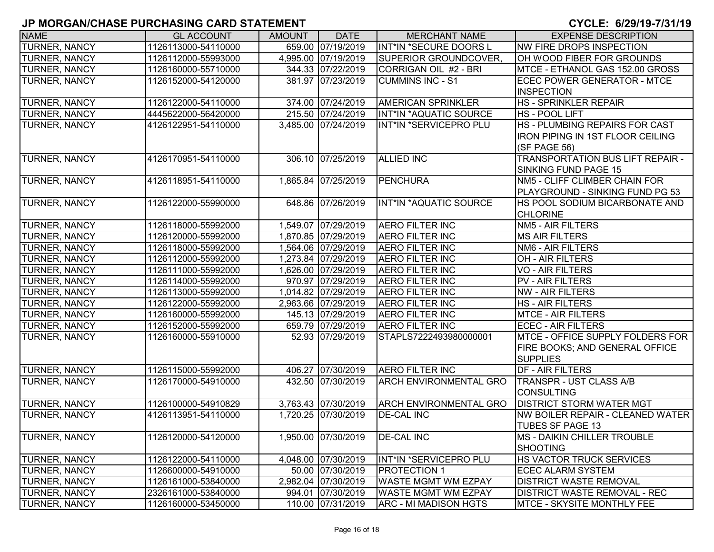| <b>NAME</b>          | <b>GL ACCOUNT</b>   | <b>AMOUNT</b> | <b>DATE</b>         | <b>MERCHANT NAME</b>          | <b>EXPENSE DESCRIPTION</b>              |
|----------------------|---------------------|---------------|---------------------|-------------------------------|-----------------------------------------|
| TURNER, NANCY        | 1126113000-54110000 |               | 659.00 07/19/2019   | INT*IN *SECURE DOORS L        | NW FIRE DROPS INSPECTION                |
| <b>TURNER, NANCY</b> | 1126112000-55993000 |               | 4,995.00 07/19/2019 | SUPERIOR GROUNDCOVER,         | OH WOOD FIBER FOR GROUNDS               |
| <b>TURNER, NANCY</b> | 1126160000-55710000 |               | 344.33 07/22/2019   | CORRIGAN OIL #2 - BRI         | MTCE - ETHANOL GAS 152.00 GROSS         |
| <b>TURNER, NANCY</b> | 1126152000-54120000 |               | 381.97 07/23/2019   | <b>CUMMINS INC - S1</b>       | ECEC POWER GENERATOR - MTCE             |
|                      |                     |               |                     |                               | <b>INSPECTION</b>                       |
| <b>TURNER, NANCY</b> | 1126122000-54110000 |               | 374.00 07/24/2019   | <b>AMERICAN SPRINKLER</b>     | <b>HS - SPRINKLER REPAIR</b>            |
| <b>TURNER, NANCY</b> | 4445622000-56420000 |               | 215.50 07/24/2019   | INT*IN *AQUATIC SOURCE        | <b>HS - POOL LIFT</b>                   |
| <b>TURNER, NANCY</b> | 4126122951-54110000 |               | 3,485.00 07/24/2019 | INT*IN *SERVICEPRO PLU        | HS - PLUMBING REPAIRS FOR CAST          |
|                      |                     |               |                     |                               | <b>IRON PIPING IN 1ST FLOOR CEILING</b> |
|                      |                     |               |                     |                               | (SF PAGE 56)                            |
| <b>TURNER, NANCY</b> | 4126170951-54110000 |               | 306.10 07/25/2019   | <b>ALLIED INC</b>             | <b>TRANSPORTATION BUS LIFT REPAIR -</b> |
|                      |                     |               |                     |                               | SINKING FUND PAGE 15                    |
| <b>TURNER, NANCY</b> | 4126118951-54110000 |               | 1,865.84 07/25/2019 | <b>PENCHURA</b>               | NM5 - CLIFF CLIMBER CHAIN FOR           |
|                      |                     |               |                     |                               | PLAYGROUND - SINKING FUND PG 53         |
| TURNER, NANCY        | 1126122000-55990000 |               | 648.86 07/26/2019   | INT*IN *AQUATIC SOURCE        | HS POOL SODIUM BICARBONATE AND          |
|                      |                     |               |                     |                               | <b>CHLORINE</b>                         |
| <b>TURNER, NANCY</b> | 1126118000-55992000 |               | 1,549.07 07/29/2019 | <b>AERO FILTER INC</b>        | <b>NM5 - AIR FILTERS</b>                |
| TURNER, NANCY        | 1126120000-55992000 |               | 1,870.85 07/29/2019 | <b>AERO FILTER INC</b>        | <b>MS AIR FILTERS</b>                   |
| <b>TURNER, NANCY</b> | 1126118000-55992000 |               | 1,564.06 07/29/2019 | <b>AERO FILTER INC</b>        | <b>NM6 - AIR FILTERS</b>                |
| <b>TURNER, NANCY</b> | 1126112000-55992000 |               | 1,273.84 07/29/2019 | <b>AERO FILTER INC</b>        | <b>OH - AIR FILTERS</b>                 |
| <b>TURNER, NANCY</b> | 1126111000-55992000 |               | 1,626.00 07/29/2019 | AERO FILTER INC               | <b>VO - AIR FILTERS</b>                 |
| <b>TURNER, NANCY</b> | 1126114000-55992000 |               | 970.97 07/29/2019   | <b>AERO FILTER INC</b>        | <b>PV - AIR FILTERS</b>                 |
| <b>TURNER, NANCY</b> | 1126113000-55992000 |               | 1,014.82 07/29/2019 | <b>AERO FILTER INC</b>        | <b>NW - AIR FILTERS</b>                 |
| <b>TURNER, NANCY</b> | 1126122000-55992000 |               | 2,963.66 07/29/2019 | <b>AERO FILTER INC</b>        | <b>HS - AIR FILTERS</b>                 |
| <b>TURNER, NANCY</b> | 1126160000-55992000 |               | 145.13 07/29/2019   | <b>AERO FILTER INC</b>        | <b>MTCE - AIR FILTERS</b>               |
| <b>TURNER, NANCY</b> | 1126152000-55992000 |               | 659.79 07/29/2019   | <b>AERO FILTER INC</b>        | <b>ECEC - AIR FILTERS</b>               |
| <b>TURNER, NANCY</b> | 1126160000-55910000 |               | 52.93 07/29/2019    | STAPLS7222493980000001        | <b>MTCE - OFFICE SUPPLY FOLDERS FOR</b> |
|                      |                     |               |                     |                               | <b>FIRE BOOKS; AND GENERAL OFFICE</b>   |
|                      |                     |               |                     |                               | <b>SUPPLIES</b>                         |
| <b>TURNER, NANCY</b> | 1126115000-55992000 |               | 406.27 07/30/2019   | <b>AERO FILTER INC</b>        | <b>DF - AIR FILTERS</b>                 |
| <b>TURNER, NANCY</b> | 1126170000-54910000 |               | 432.50 07/30/2019   | <b>ARCH ENVIRONMENTAL GRO</b> | <b>TRANSPR - UST CLASS A/B</b>          |
|                      |                     |               |                     |                               | <b>CONSULTING</b>                       |
| <b>TURNER, NANCY</b> | 1126100000-54910829 |               | 3,763.43 07/30/2019 | <b>ARCH ENVIRONMENTAL GRO</b> | <b>DISTRICT STORM WATER MGT</b>         |
| <b>TURNER, NANCY</b> | 4126113951-54110000 |               | 1,720.25 07/30/2019 | <b>DE-CAL INC</b>             | NW BOILER REPAIR - CLEANED WATER        |
|                      |                     |               |                     |                               | <b>TUBES SF PAGE 13</b>                 |
| <b>TURNER, NANCY</b> | 1126120000-54120000 |               | 1,950.00 07/30/2019 | <b>DE-CAL INC</b>             | <b>MS - DAIKIN CHILLER TROUBLE</b>      |
|                      |                     |               |                     |                               | SHOOTING                                |
| <b>TURNER, NANCY</b> | 1126122000-54110000 |               | 4,048.00 07/30/2019 | INT*IN *SERVICEPRO PLU        | <b>HS VACTOR TRUCK SERVICES</b>         |
| <b>TURNER, NANCY</b> | 1126600000-54910000 |               | 50.00 07/30/2019    | <b>PROTECTION 1</b>           | <b>ECEC ALARM SYSTEM</b>                |
| <b>TURNER, NANCY</b> | 1126161000-53840000 |               | 2,982.04 07/30/2019 | <b>WASTE MGMT WM EZPAY</b>    | <b>DISTRICT WASTE REMOVAL</b>           |
| <b>TURNER, NANCY</b> | 2326161000-53840000 |               | 994.01 07/30/2019   | <b>WASTE MGMT WM EZPAY</b>    | <b>DISTRICT WASTE REMOVAL - REC</b>     |
| <b>TURNER, NANCY</b> | 1126160000-53450000 |               | 110.00 07/31/2019   | <b>ARC - MI MADISON HGTS</b>  | MTCE - SKYSITE MONTHLY FEE              |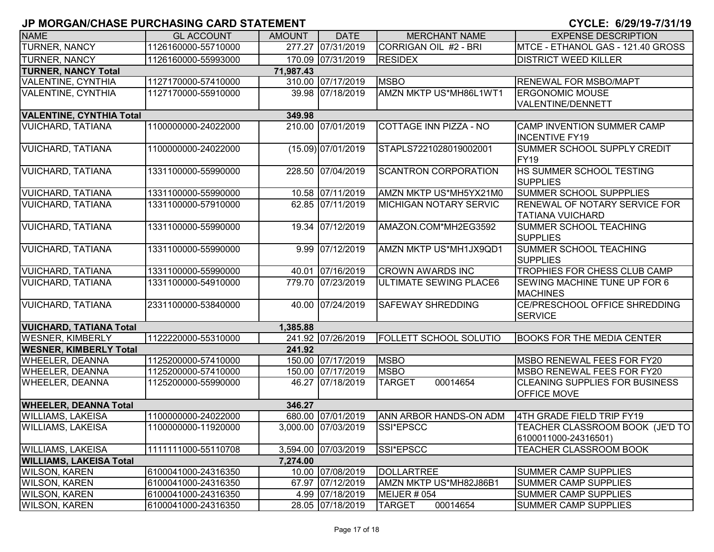| <b>NAME</b>                             | <b>GL ACCOUNT</b>   | <b>AMOUNT</b> | <b>DATE</b>         | <b>MERCHANT NAME</b>          | <b>EXPENSE DESCRIPTION</b>                                      |  |
|-----------------------------------------|---------------------|---------------|---------------------|-------------------------------|-----------------------------------------------------------------|--|
| <b>TURNER, NANCY</b>                    | 1126160000-55710000 |               | 277.27 07/31/2019   | CORRIGAN OIL #2 - BRI         | MTCE - ETHANOL GAS - 121.40 GROSS                               |  |
| <b>TURNER, NANCY</b>                    | 1126160000-55993000 |               | 170.09 07/31/2019   | <b>RESIDEX</b>                | <b>DISTRICT WEED KILLER</b>                                     |  |
| <b>TURNER, NANCY Total</b><br>71,987.43 |                     |               |                     |                               |                                                                 |  |
| <b>VALENTINE, CYNTHIA</b>               | 1127170000-57410000 |               | 310.00 07/17/2019   | <b>MSBO</b>                   | <b>RENEWAL FOR MSBO/MAPT</b>                                    |  |
| <b>VALENTINE, CYNTHIA</b>               | 1127170000-55910000 |               | 39.98 07/18/2019    | AMZN MKTP US*MH86L1WT1        | <b>ERGONOMIC MOUSE</b>                                          |  |
|                                         |                     |               |                     |                               | VALENTINE/DENNETT                                               |  |
| <b>VALENTINE, CYNTHIA Total</b>         |                     | 349.98        |                     |                               |                                                                 |  |
| <b>VUICHARD, TATIANA</b>                | 1100000000-24022000 |               | 210.00 07/01/2019   | COTTAGE INN PIZZA - NO        | <b>CAMP INVENTION SUMMER CAMP</b><br><b>INCENTIVE FY19</b>      |  |
| <b>VUICHARD, TATIANA</b>                | 1100000000-24022000 |               | (15.09) 07/01/2019  | STAPLS7221028019002001        | SUMMER SCHOOL SUPPLY CREDIT<br><b>FY19</b>                      |  |
| <b>VUICHARD, TATIANA</b>                | 1331100000-55990000 |               | 228.50 07/04/2019   | <b>SCANTRON CORPORATION</b>   | HS SUMMER SCHOOL TESTING<br><b>SUPPLIES</b>                     |  |
| <b>VUICHARD, TATIANA</b>                | 1331100000-55990000 |               | 10.58 07/11/2019    | AMZN MKTP US*MH5YX21M0        | <b>SUMMER SCHOOL SUPPPLIES</b>                                  |  |
| <b>VUICHARD, TATIANA</b>                | 1331100000-57910000 |               | 62.85 07/11/2019    | <b>MICHIGAN NOTARY SERVIC</b> | <b>RENEWAL OF NOTARY SERVICE FOR</b><br><b>TATIANA VUICHARD</b> |  |
| <b>VUICHARD, TATIANA</b>                | 1331100000-55990000 |               | 19.34 07/12/2019    | AMAZON.COM*MH2EG3592          | SUMMER SCHOOL TEACHING<br><b>SUPPLIES</b>                       |  |
| <b>VUICHARD, TATIANA</b>                | 1331100000-55990000 |               | 9.99 07/12/2019     | AMZN MKTP US*MH1JX9QD1        | <b>SUMMER SCHOOL TEACHING</b><br><b>SUPPLIES</b>                |  |
| <b>VUICHARD, TATIANA</b>                | 1331100000-55990000 |               | 40.01 07/16/2019    | <b>CROWN AWARDS INC</b>       | TROPHIES FOR CHESS CLUB CAMP                                    |  |
| <b>VUICHARD, TATIANA</b>                | 1331100000-54910000 |               | 779.70 07/23/2019   | <b>ULTIMATE SEWING PLACE6</b> | <b>SEWING MACHINE TUNE UP FOR 6</b><br><b>MACHINES</b>          |  |
| <b>VUICHARD, TATIANA</b>                | 2331100000-53840000 |               | 40.00 07/24/2019    | <b>SAFEWAY SHREDDING</b>      | CE/PRESCHOOL OFFICE SHREDDING<br><b>SERVICE</b>                 |  |
| <b>VUICHARD, TATIANA Total</b>          |                     | 1,385.88      |                     |                               |                                                                 |  |
| <b>WESNER, KIMBERLY</b>                 | 1122220000-55310000 |               | 241.92 07/26/2019   | <b>FOLLETT SCHOOL SOLUTIO</b> | <b>BOOKS FOR THE MEDIA CENTER</b>                               |  |
| <b>WESNER, KIMBERLY Total</b>           |                     | 241.92        |                     |                               |                                                                 |  |
| <b>WHEELER, DEANNA</b>                  | 1125200000-57410000 |               | 150.00 07/17/2019   | <b>MSBO</b>                   | MSBO RENEWAL FEES FOR FY20                                      |  |
| <b>WHEELER, DEANNA</b>                  | 1125200000-57410000 |               | 150.00 07/17/2019   | <b>MSBO</b>                   | MSBO RENEWAL FEES FOR FY20                                      |  |
| <b>WHEELER, DEANNA</b>                  | 1125200000-55990000 |               | 46.27 07/18/2019    | 00014654<br><b>TARGET</b>     | <b>CLEANING SUPPLIES FOR BUSINESS</b><br><b>OFFICE MOVE</b>     |  |
| <b>WHEELER, DEANNA Total</b>            |                     | 346.27        |                     |                               |                                                                 |  |
| <b>WILLIAMS, LAKEISA</b>                | 1100000000-24022000 |               | 680.00 07/01/2019   | ANN ARBOR HANDS-ON ADM        | 4TH GRADE FIELD TRIP FY19                                       |  |
| <b>WILLIAMS, LAKEISA</b>                | 1100000000-11920000 |               | 3,000.00 07/03/2019 | SSI*EPSCC                     | TEACHER CLASSROOM BOOK (JE'D TO<br>6100011000-24316501)         |  |
| <b>WILLIAMS, LAKEISA</b>                | 1111111000-55110708 |               | 3,594.00 07/03/2019 | SSI*EPSCC                     | <b>TEACHER CLASSROOM BOOK</b>                                   |  |
| <b>WILLIAMS, LAKEISA Total</b>          |                     | 7,274.00      |                     |                               |                                                                 |  |
| <b>WILSON, KAREN</b>                    | 6100041000-24316350 |               | 10.00 07/08/2019    | DOLLARTREE                    | <b>SUMMER CAMP SUPPLIES</b>                                     |  |
| <b>WILSON, KAREN</b>                    | 6100041000-24316350 |               | 67.97 07/12/2019    | AMZN MKTP US*MH82J86B1        | <b>SUMMER CAMP SUPPLIES</b>                                     |  |
| <b>WILSON, KAREN</b>                    | 6100041000-24316350 |               | 4.99 07/18/2019     | MEIJER # 054                  | <b>SUMMER CAMP SUPPLIES</b>                                     |  |
| <b>WILSON, KAREN</b>                    | 6100041000-24316350 |               | 28.05 07/18/2019    | <b>TARGET</b><br>00014654     | <b>SUMMER CAMP SUPPLIES</b>                                     |  |